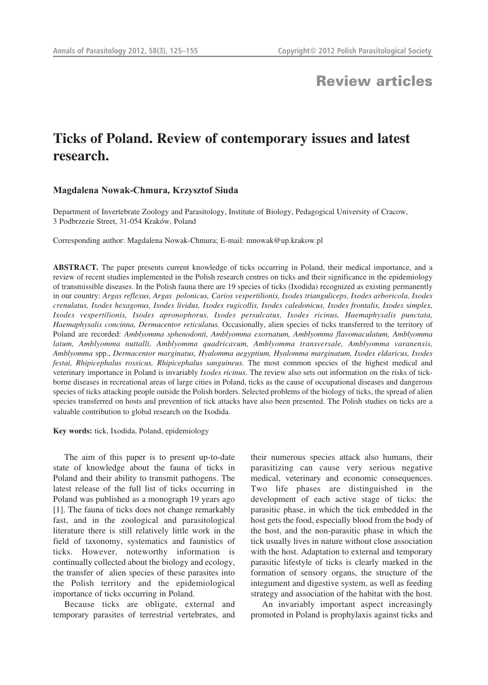# **Review articles**

# **Ticks of Poland. Review of contemporary issues and latest research.**

#### **Magdalena Nowak-Chmura, Krzysztof Siuda**

Department of Invertebrate Zoology and Parasitology, Institute of Biology, Pedagogical University of Cracow, 3 Podbrzezie Street, 31-054 Kraków, Poland

Corresponding author: Magdalena Nowak-Chmura; E-mail: mnowak@up.krakow.pl

**ABSTRACT.** The paper presents current knowledge of ticks occurring in Poland, their medical importance, and a review of recent studies implemented in the Polish research centres on ticks and their significance in the epidemiology of transmissible diseases. In the Polish fauna there are 19 species of ticks (Ixodida) recognized as existing permanently in our country: *Argas reflexus, Argas polonicus, Carios vespertilionis, Ixodes trianguliceps, Ixodes arboricola, Ixodes crenulatus, Ixodes hexagonus, Ixodes lividus, Ixodes rugicollis, Ixodes caledonicus, Ixodes frontalis, Ixodes* s*implex, Ixodes vespertilionis, Ixodes apronophorus, Ixodes persulcatus, Ixodes ricinus, Haemaphysalis punctata, Haemaphysalis concinna, Dermacentor reticulatus.* Occasionally, alien species of ticks transferred to the territory of Poland are recorded: *Amblyomma sphenodonti, Amblyomma exornatum, Amblyomma flavomaculatum, Amblyomma latum, Amblyomma nuttalli, Amblyomma quadricavum, Amblyomma transversale, Amblyomma varanensis, Amblyomma* spp., *Dermacentor marginatus, Hyalomma aegyptium, Hyalomma marginatum, Ixodes eldaricus, Ixodes festai, Rhipicephalus rossicus, Rhipicephalus sanguineus.* The most common species of the highest medical and veterinary importance in Poland is invariably *Ixodes ricinus*. The review also sets out information on the risks of tickborne diseases in recreational areas of large cities in Poland, ticks as the cause of occupational diseases and dangerous species of ticks attacking people outside the Polish borders. Selected problems of the biology of ticks, the spread of alien species transferred on hosts and prevention of tick attacks have also been presented. The Polish studies on ticks are a valuable contribution to global research on the Ixodida.

**Key words:** tick, Ixodida, Poland, epidemiology

The aim of this paper is to present up-to-date state of knowledge about the fauna of ticks in Poland and their ability to transmit pathogens. The latest release of the full list of ticks occurring in Poland was published as a monograph 19 years ago [1]. The fauna of ticks does not change remarkably fast, and in the zoological and parasitological literature there is still relatively little work in the field of taxonomy, systematics and faunistics of ticks. However, noteworthy information is continually collected about the biology and ecology, the transfer of alien species of these parasites into the Polish territory and the epidemiological importance of ticks occurring in Poland.

Because ticks are obligate, external and temporary parasites of terrestrial vertebrates, and their numerous species attack also humans, their parasitizing can cause very serious negative medical, veterinary and economic consequences. Two life phases are distinguished in the development of each active stage of ticks: the parasitic phase, in which the tick embedded in the host gets the food, especially blood from the body of the host, and the non-parasitic phase in which the tick usually lives in nature without close association with the host. Adaptation to external and temporary parasitic lifestyle of ticks is clearly marked in the formation of sensory organs, the structure of the integument and digestive system, as well as feeding strategy and association of the habitat with the host.

An invariably important aspect increasingly promoted in Poland is prophylaxis against ticks and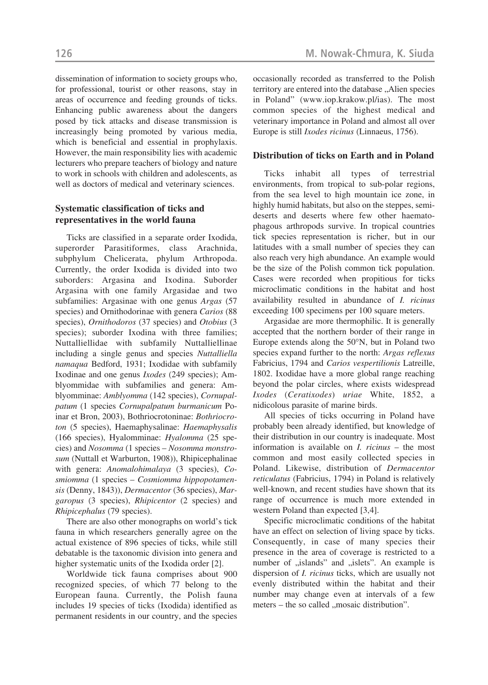dissemination of information to society groups who, for professional, tourist or other reasons, stay in areas of occurrence and feeding grounds of ticks. Enhancing public awareness about the dangers posed by tick attacks and disease transmission is increasingly being promoted by various media, which is beneficial and essential in prophylaxis. However, the main responsibility lies with academic lecturers who prepare teachers of biology and nature to work in schools with children and adolescents, as well as doctors of medical and veterinary sciences.

# **Systematic classification of ticks and representatives in the world fauna**

Ticks are classified in a separate order Ixodida, superorder Parasitiformes, class Arachnida, subphylum Chelicerata, phylum Arthropoda. Currently, the order Ixodida is divided into two suborders: Argasina and Ixodina. Suborder Argasina with one family Argasidae and two subfamilies: Argasinae with one genus *Argas* (57 species) and Ornithodorinae with genera *Carios* (88 species), *Ornithodoros* (37 species) and *Otobius* (3 species); suborder Ixodina with three families; Nuttalliellidae with subfamily Nuttalliellinae including a single genus and species *Nuttalliella namaqua* Bedford, 1931; Ixodidae with subfamily Ixodinae and one genus *Ixodes* (249 species); Amblyommidae with subfamilies and genera: Amblyomminae: *Amblyomma* (142 species), *Cornupalpatum* (1 species *Cornupalpatum burmanicum* Poinar et Bron, 2003), Bothriocrotoninae: *Bothriocroton* (5 species), Haemaphysalinae: *Haemaphysalis* (166 species), Hyalomminae: *Hyalomma* (25 species) and *Nosomma* (1 species – *Nosomma monstrosum* (Nuttall et Warburton, 1908)), Rhipicephalinae with genera: *Anomalohimalaya* (3 species), *Cosmiomma* (1 species – *Cosmiomma hippopotamensis* (Denny, 1843)), *Dermacentor* (36 species), *Margaropus* (3 species), *Rhipicentor* (2 species) and *Rhipicephalus* (79 species).

There are also other monographs on world's tick fauna in which researchers generally agree on the actual existence of 896 species of ticks, while still debatable is the taxonomic division into genera and higher systematic units of the Ixodida order [2].

Worldwide tick fauna comprises about 900 recognized species, of which 77 belong to the European fauna. Currently, the Polish fauna includes 19 species of ticks (Ixodida) identified as permanent residents in our country, and the species occasionally recorded as transferred to the Polish territory are entered into the database ...Alien species in Poland" (www.iop.krakow.pl/ias). The most common species of the highest medical and veterinary importance in Poland and almost all over Europe is still *Ixodes ricinus* (Linnaeus, 1756).

### **Distribution of ticks on Earth and in Poland**

Ticks inhabit all types of terrestrial environments, from tropical to sub-polar regions, from the sea level to high mountain ice zone, in highly humid habitats, but also on the steppes, semideserts and deserts where few other haematophagous arthropods survive. In tropical countries tick species representation is richer, but in our latitudes with a small number of species they can also reach very high abundance. An example would be the size of the Polish common tick population. Cases were recorded when propitious for ticks microclimatic conditions in the habitat and host availability resulted in abundance of *I. ricinus* exceeding 100 specimens per 100 square meters.

Argasidae are more thermophilic. It is generally accepted that the northern border of their range in Europe extends along the 50°N, but in Poland two species expand further to the north: *Argas reflexus* Fabricius, 1794 and *Carios vespertilionis* Latreille, 1802. Ixodidae have a more global range reaching beyond the polar circles, where exists widespread *Ixodes* (*Ceratixodes*) *uriae* White, 1852, a nidicolous parasite of marine birds.

All species of ticks occurring in Poland have probably been already identified, but knowledge of their distribution in our country is inadequate. Most information is available on *I. ricinus* – the most common and most easily collected species in Poland. Likewise, distribution of *Dermacentor reticulatus* (Fabricius, 1794) in Poland is relatively well-known, and recent studies have shown that its range of occurrence is much more extended in western Poland than expected [3,4].

Specific microclimatic conditions of the habitat have an effect on selection of living space by ticks. Consequently, in case of many species their presence in the area of coverage is restricted to a number of "islands" and "islets". An example is dispersion of *I. ricinus* ticks, which are usually not evenly distributed within the habitat and their number may change even at intervals of a few meters – the so called "mosaic distribution".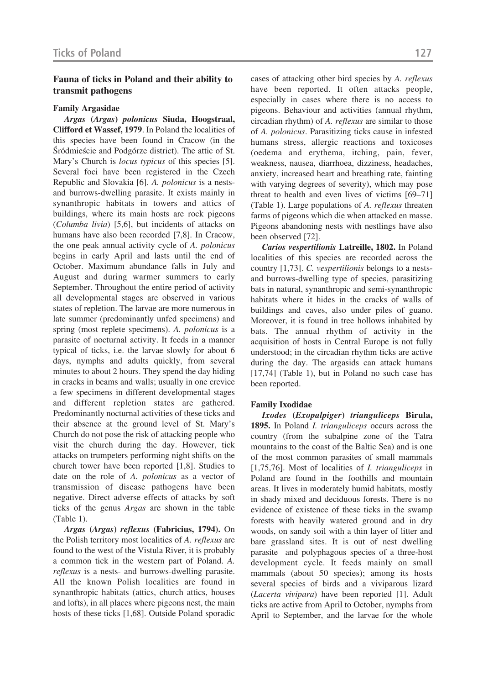# **Fauna of ticks in Poland and their ability to transmit pathogens**

#### **Family Argasidae**

*Argas* **(***Argas***)** *polonicus* **Siuda, Hoogstraal, Clifford et Wassef, 1979**. In Poland the localities of this species have been found in Cracow (in the Śródmieście and Podgórze district). The attic of St. Mary's Church is *locus typicus* of this species [5]. Several foci have been registered in the Czech Republic and Slovakia [6]. *A. polonicus* is a nestsand burrows-dwelling parasite. It exists mainly in synanthropic habitats in towers and attics of buildings, where its main hosts are rock pigeons (*Columba livia*) [5,6], but incidents of attacks on humans have also been recorded [7,8]. In Cracow, the one peak annual activity cycle of *A. polonicus* begins in early April and lasts until the end of October. Maximum abundance falls in July and August and during warmer summers to early September. Throughout the entire period of activity all developmental stages are observed in various states of repletion. The larvae are more numerous in late summer (predominantly unfed specimens) and spring (most replete specimens). *A. polonicus* is a parasite of nocturnal activity. It feeds in a manner typical of ticks, i.e. the larvae slowly for about 6 days, nymphs and adults quickly, from several minutes to about 2 hours. They spend the day hiding in cracks in beams and walls; usually in one crevice a few specimens in different developmental stages and different repletion states are gathered. Predominantly nocturnal activities of these ticks and their absence at the ground level of St. Mary's Church do not pose the risk of attacking people who visit the church during the day. However, tick attacks on trumpeters performing night shifts on the church tower have been reported [1,8]. Studies to date on the role of *A. polonicus* as a vector of transmission of disease pathogens have been negative. Direct adverse effects of attacks by soft ticks of the genus *Argas* are shown in the table (Table 1).

*Argas* **(***Argas***)** *reflexus* **(Fabricius, 1794).** On the Polish territory most localities of *A. reflexus* are found to the west of the Vistula River, it is probably a common tick in the western part of Poland. *A. reflexus* is a nests- and burrows-dwelling parasite. All the known Polish localities are found in synanthropic habitats (attics, church attics, houses and lofts), in all places where pigeons nest, the main hosts of these ticks [1,68]. Outside Poland sporadic cases of attacking other bird species by *A. reflexus* have been reported. It often attacks people, especially in cases where there is no access to pigeons. Behaviour and activities (annual rhythm, circadian rhythm) of *A. reflexus* are similar to those of *A. polonicus*. Parasitizing ticks cause in infested humans stress, allergic reactions and toxicoses (oedema and erythema, itching, pain, fever, weakness, nausea, diarrhoea, dizziness, headaches, anxiety, increased heart and breathing rate, fainting with varying degrees of severity), which may pose threat to health and even lives of victims [69–71] (Table 1). Large populations of *A. reflexus* threaten farms of pigeons which die when attacked en masse. Pigeons abandoning nests with nestlings have also been observed [72].

*Carios vespertilionis* **Latreille, 1802.** In Poland localities of this species are recorded across the country [1,73]. *C. vespertilionis* belongs to a nestsand burrows-dwelling type of species, parasitizing bats in natural, synanthropic and semi-synanthropic habitats where it hides in the cracks of walls of buildings and caves, also under piles of guano. Moreover, it is found in tree hollows inhabited by bats. The annual rhythm of activity in the acquisition of hosts in Central Europe is not fully understood; in the circadian rhythm ticks are active during the day. The argasids can attack humans [17,74] (Table 1), but in Poland no such case has been reported.

#### **Family Ixodidae**

*Ixodes* **(***Exopalpiger***)** *trianguliceps* **Birula, 1895.** In Poland *I. trianguliceps* occurs across the country (from the subalpine zone of the Tatra mountains to the coast of the Baltic Sea) and is one of the most common parasites of small mammals [1,75,76]. Most of localities of *I. trianguliceps* in Poland are found in the foothills and mountain areas. It lives in moderately humid habitats, mostly in shady mixed and deciduous forests. There is no evidence of existence of these ticks in the swamp forests with heavily watered ground and in dry woods, on sandy soil with a thin layer of litter and bare grassland sites. It is out of nest dwelling parasite and polyphagous species of a three-host development cycle. It feeds mainly on small mammals (about 50 species); among its hosts several species of birds and a viviparous lizard (*Lacerta vivipara*) have been reported [1]. Adult ticks are active from April to October, nymphs from April to September, and the larvae for the whole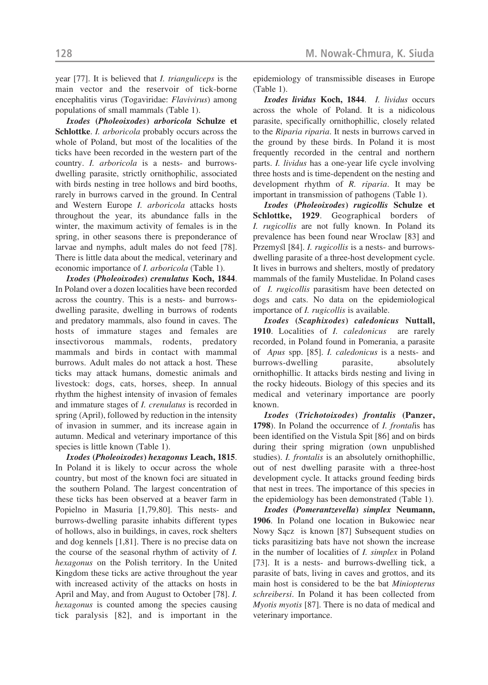year [77]. It is believed that *I. trianguliceps* is the main vector and the reservoir of tick-borne encephalitis virus (Togaviridae: *Flavivirus*) among populations of small mammals (Table 1).

*Ixodes* **(***Pholeoixodes***)** *arboricola* **Schulze et Schlottke**. *I. arboricola* probably occurs across the whole of Poland, but most of the localities of the ticks have been recorded in the western part of the country. *I. arboricola* is a nests- and burrowsdwelling parasite, strictly ornithophilic, associated with birds nesting in tree hollows and bird booths, rarely in burrows carved in the ground. In Central and Western Europe *I. arboricola* attacks hosts throughout the year, its abundance falls in the winter, the maximum activity of females is in the spring, in other seasons there is preponderance of larvae and nymphs, adult males do not feed [78]. There is little data about the medical, veterinary and economic importance of *I. arboricola* (Table 1).

*Ixodes* **(***Pholeoixodes***)** *crenulatus* **Koch, 1844**. In Poland over a dozen localities have been recorded across the country. This is a nests- and burrowsdwelling parasite, dwelling in burrows of rodents and predatory mammals, also found in caves. The hosts of immature stages and females are insectivorous mammals, rodents, predatory mammals and birds in contact with mammal burrows. Adult males do not attack a host. These ticks may attack humans, domestic animals and livestock: dogs, cats, horses, sheep. In annual rhythm the highest intensity of invasion of females and immature stages of *I. crenulatus* is recorded in spring (April), followed by reduction in the intensity of invasion in summer, and its increase again in autumn. Medical and veterinary importance of this species is little known (Table 1).

*Ixodes* **(***Pholeoixodes***)** *hexagonus* **Leach, 1815**. In Poland it is likely to occur across the whole country, but most of the known foci are situated in the southern Poland. The largest concentration of these ticks has been observed at a beaver farm in Popielno in Masuria [1,79,80]. This nests- and burrows-dwelling parasite inhabits different types of hollows, also in buildings, in caves, rock shelters and dog kennels [1,81]. There is no precise data on the course of the seasonal rhythm of activity of *I. hexagonus* on the Polish territory. In the United Kingdom these ticks are active throughout the year with increased activity of the attacks on hosts in April and May, and from August to October [78]. *I. hexagonus* is counted among the species causing tick paralysis [82], and is important in the

epidemiology of transmissible diseases in Europe (Table 1).

*Ixodes lividus* **Koch, 1844**. *I. lividus* occurs across the whole of Poland. It is a nidicolous parasite, specifically ornithophillic, closely related to the *Riparia riparia*. It nests in burrows carved in the ground by these birds. In Poland it is most frequently recorded in the central and northern parts. *I. lividus* has a one-year life cycle involving three hosts and is time-dependent on the nesting and development rhythm of *R. riparia*. It may be important in transmission of pathogens (Table 1).

*Ixodes* **(***Pholeoixodes***)** *rugicollis* **Schulze et Schlottke, 1929**. Geographical borders of *I. rugicollis* are not fully known. In Poland its prevalence has been found near Wroclaw [83] and Przemyśl [84]. *I. rugicollis* is a nests- and burrowsdwelling parasite of a three-host development cycle. It lives in burrows and shelters, mostly of predatory mammals of the family Mustelidae. In Poland cases of *I. rugicollis* parasitism have been detected on dogs and cats. No data on the epidemiological importance of *I. rugicollis* is available.

*Ixodes* **(***Scaphixodes***)** *caledonicus* **Nuttall, 1910**. Localities of *I. caledonicus* are rarely recorded, in Poland found in Pomerania, a parasite of *Apus* spp. [85]. *I. caledonicus* is a nests- and burrows-dwelling parasite, absolutely ornithophillic. It attacks birds nesting and living in the rocky hideouts. Biology of this species and its medical and veterinary importance are poorly known.

*Ixodes* **(***Trichotoixodes***)** *frontalis* **(Panzer, 1798**). In Poland the occurrence of *I. frontal*is has been identified on the Vistula Spit [86] and on birds during their spring migration (own unpublished studies). *I. frontalis* is an absolutely ornithophillic, out of nest dwelling parasite with a three-host development cycle. It attacks ground feeding birds that nest in trees. The importance of this species in the epidemiology has been demonstrated (Table 1).

*Ixodes* **(***Pomerantzevella***)** *simplex* **Neumann, 1906**. In Poland one location in Bukowiec near Nowy Sącz is known [87] Subsequent studies on ticks parasitizing bats have not shown the increase in the number of localities of *I. simplex* in Poland [73]. It is a nests- and burrows-dwelling tick, a parasite of bats, living in caves and grottos, and its main host is considered to be the bat *Miniopterus schreibersi*. In Poland it has been collected from *Myotis myotis* [87]. There is no data of medical and veterinary importance.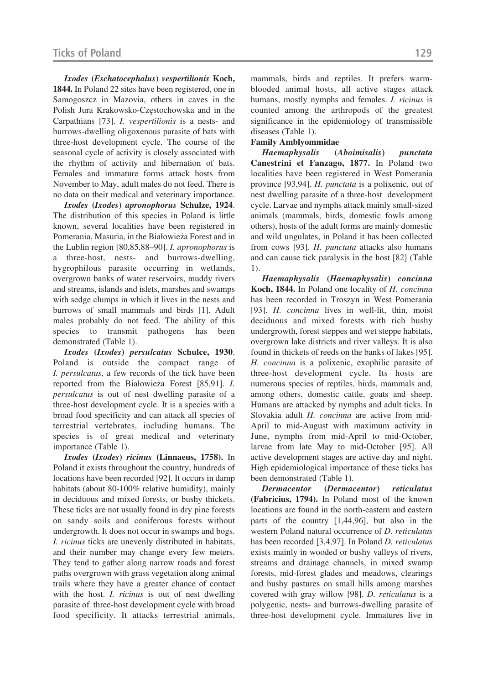*Ixodes* **(***Eschatocephalus***)** *vespertilionis* **Koch, 1844.** In Poland 22 sites have been registered, one in Samogoszcz in Mazovia, others in caves in the Polish Jura Krakowsko-Częstochowska and in the Carpathians [73]. *I. vespertilionis* is a nests- and burrows-dwelling oligoxenous parasite of bats with three-host development cycle. The course of the seasonal cycle of activity is closely associated with the rhythm of activity and hibernation of bats. Females and immature forms attack hosts from November to May, adult males do not feed. There is no data on their medical and veterinary importance.

*Ixodes* **(***Ixodes***)** *apronophorus* **Schulze, 1924**. The distribution of this species in Poland is little known, several localities have been registered in Pomerania, Masuria, in the Białowieża Forest and in the Lublin region [80,85,88–90]. *I. apronophorus* is a three-host, nests- and burrows-dwelling, hygrophilous parasite occurring in wetlands, overgrown banks of water reservoirs, muddy rivers and streams, islands and islets, marshes and swamps with sedge clumps in which it lives in the nests and burrows of small mammals and birds [1]. Adult males probably do not feed. The ability of this species to transmit pathogens has been demonstrated (Table 1).

*Ixodes* **(***Ixodes***)** *persulcatus* **Schulce, 1930**. Poland is outside the compact range of *I. persulcatus*, a few records of the tick have been reported from the Białowieża Forest [85,91]. *I. persulcatus* is out of nest dwelling parasite of a three-host development cycle. It is a species with a broad food specificity and can attack all species of terrestrial vertebrates, including humans. The species is of great medical and veterinary importance (Table 1).

*Ixodes* **(***Ixodes***)** *ricinus* **(Linnaeus, 1758).** In Poland it exists throughout the country, hundreds of locations have been recorded [92]. It occurs in damp habitats (about 80-100% relative humidity), mainly in deciduous and mixed forests, or bushy thickets. These ticks are not usually found in dry pine forests on sandy soils and coniferous forests without undergrowth. It does not occur in swamps and bogs. *I. ricinus* ticks are unevenly distributed in habitats, and their number may change every few meters. They tend to gather along narrow roads and forest paths overgrown with grass vegetation along animal trails where they have a greater chance of contact with the host. *I. ricinus* is out of nest dwelling parasite of three-host development cycle with broad food specificity. It attacks terrestrial animals, mammals, birds and reptiles. It prefers warmblooded animal hosts, all active stages attack humans, mostly nymphs and females. *I. ricinus* is counted among the arthropods of the greatest significance in the epidemiology of transmissible diseases (Table 1).

#### **Family Amblyommidae**

*Haemaphysalis* **(***Aboimisalis***)** *punctata* **Canestrini et Fanzago, 1877.** In Poland two localities have been registered in West Pomerania province [93,94]. *H. punctata* is a polixenic, out of nest dwelling parasite of a three-host development cycle. Larvae and nymphs attack mainly small-sized animals (mammals, birds, domestic fowls among others), hosts of the adult forms are mainly domestic and wild ungulates, in Poland it has been collected from cows [93]. *H. punctata* attacks also humans and can cause tick paralysis in the host [82] (Table 1).

*Haemaphysalis* **(***Haemaphysalis***)** *concinna* **Koch, 1844.** In Poland one locality of *H. concinna* has been recorded in Troszyn in West Pomerania [93]. *H. concinna* lives in well-lit, thin, moist deciduous and mixed forests with rich bushy undergrowth, forest steppes and wet steppe habitats, overgrown lake districts and river valleys. It is also found in thickets of reeds on the banks of lakes [95]. *H. concinna* is a polixenic, exophilic parasite of three-host development cycle. Its hosts are numerous species of reptiles, birds, mammals and, among others, domestic cattle, goats and sheep. Humans are attacked by nymphs and adult ticks. In Slovakia adult *H. concinna* are active from mid-April to mid-August with maximum activity in June, nymphs from mid-April to mid-October, larvae from late May to mid-October [95]. All active development stages are active day and night. High epidemiological importance of these ticks has been demonstrated (Table 1).

*Dermacentor* **(***Dermacentor***)** *reticulatus* **(Fabricius, 1794).** In Poland most of the known locations are found in the north-eastern and eastern parts of the country [1,44,96], but also in the western Poland natural occurrence of *D. reticulatus* has been recorded [3,4,97]. In Poland *D. reticulatus* exists mainly in wooded or bushy valleys of rivers, streams and drainage channels, in mixed swamp forests, mid-forest glades and meadows, clearings and bushy pastures on small hills among marshes covered with gray willow [98]. *D. reticulatus* is a polygenic, nests- and burrows-dwelling parasite of three-host development cycle. Immatures live in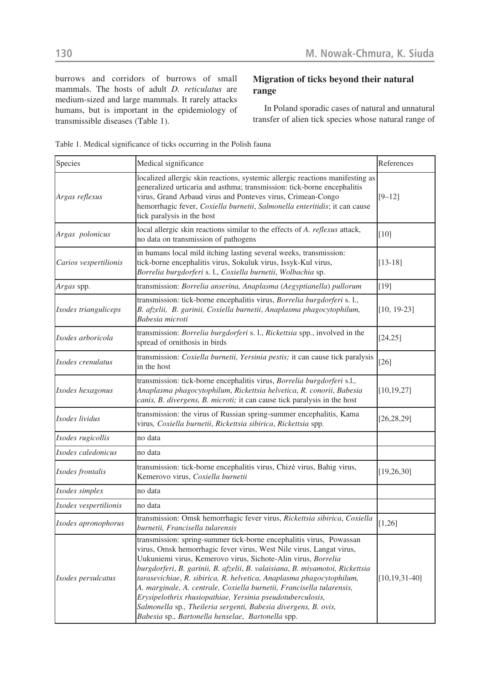burrows and corridors of burrows of small mammals. The hosts of adult *D. reticulatus* are medium-sized and large mammals. It rarely attacks humans, but is important in the epidemiology of transmissible diseases (Table 1).

# **Migration of ticks beyond their natural range**

In Poland sporadic cases of natural and unnatural transfer of alien tick species whose natural range of

| Species                                                                                                                                                                                                                                                                                                                                                                                                                                                                                                                                                                                                                                                  | Medical significance                                                                                                                                                                                                                                                                                                                              | References        |  |
|----------------------------------------------------------------------------------------------------------------------------------------------------------------------------------------------------------------------------------------------------------------------------------------------------------------------------------------------------------------------------------------------------------------------------------------------------------------------------------------------------------------------------------------------------------------------------------------------------------------------------------------------------------|---------------------------------------------------------------------------------------------------------------------------------------------------------------------------------------------------------------------------------------------------------------------------------------------------------------------------------------------------|-------------------|--|
| Argas reflexus                                                                                                                                                                                                                                                                                                                                                                                                                                                                                                                                                                                                                                           | localized allergic skin reactions, systemic allergic reactions manifesting as<br>generalized urticaria and asthma; transmission: tick-borne encephalitis<br>virus, Grand Arbaud virus and Ponteves virus, Crimean-Congo<br>$[9 - 12]$<br>hemorrhagic fever, Coxiella burnetii, Salmonella enteritidis; it can cause<br>tick paralysis in the host |                   |  |
| Argas polonicus                                                                                                                                                                                                                                                                                                                                                                                                                                                                                                                                                                                                                                          | local allergic skin reactions similar to the effects of A. reflexus attack,<br>no data on transmission of pathogens                                                                                                                                                                                                                               | [10]              |  |
| Carios vespertilionis                                                                                                                                                                                                                                                                                                                                                                                                                                                                                                                                                                                                                                    | in humans local mild itching lasting several weeks, transmission:<br>tick-borne encephalitis virus, Sokuluk virus, Issyk-Kul virus,<br>Borrelia burgdorferi s. l., Coxiella burnetii, Wolbachia sp.                                                                                                                                               | $[13-18]$         |  |
| Argas spp.                                                                                                                                                                                                                                                                                                                                                                                                                                                                                                                                                                                                                                               | transmission: <i>Borrelia anserina, Anaplasma (Aegyptianella) pullorum</i>                                                                                                                                                                                                                                                                        | $[19]$            |  |
| Ixodes trianguliceps                                                                                                                                                                                                                                                                                                                                                                                                                                                                                                                                                                                                                                     | transmission: tick-borne encephalitis virus, Borrelia burgdorferi s. l.,<br>B. afzelii, B. garinii, Coxiella burnetii, Anaplasma phagocytophilum,<br>$[10, 19-23]$<br>Babesia microti                                                                                                                                                             |                   |  |
| Ixodes arboricola                                                                                                                                                                                                                                                                                                                                                                                                                                                                                                                                                                                                                                        | transmission: <i>Borrelia burgdorferi</i> s. l., <i>Rickettsia</i> spp., involved in the<br>spread of ornithosis in birds                                                                                                                                                                                                                         | [24, 25]          |  |
| Ixodes crenulatus                                                                                                                                                                                                                                                                                                                                                                                                                                                                                                                                                                                                                                        | transmission: Coxiella burnetii, Yersinia pestis; it can cause tick paralysis<br>in the host                                                                                                                                                                                                                                                      | $[26]$            |  |
| transmission: tick-borne encephalitis virus, Borrelia burgdorferi s.l.,<br>Anaplasma phagocytophilum, Rickettsia helvetica, R. conorii, Babesia<br>Ixodes hexagonus<br>canis, B. divergens, B. microti; it can cause tick paralysis in the host                                                                                                                                                                                                                                                                                                                                                                                                          |                                                                                                                                                                                                                                                                                                                                                   | [10, 19, 27]      |  |
| Ixodes lividus                                                                                                                                                                                                                                                                                                                                                                                                                                                                                                                                                                                                                                           | transmission: the virus of Russian spring-summer encephalitis, Kama<br>virus, Coxiella burnetii, Rickettsia sibirica, Rickettsia spp.                                                                                                                                                                                                             | [26, 28, 29]      |  |
| Ixodes rugicollis                                                                                                                                                                                                                                                                                                                                                                                                                                                                                                                                                                                                                                        | no data                                                                                                                                                                                                                                                                                                                                           |                   |  |
| Ixodes caledonicus                                                                                                                                                                                                                                                                                                                                                                                                                                                                                                                                                                                                                                       | no data                                                                                                                                                                                                                                                                                                                                           |                   |  |
| Ixodes frontalis                                                                                                                                                                                                                                                                                                                                                                                                                                                                                                                                                                                                                                         | transmission: tick-borne encephalitis virus, Chizè virus, Bahig virus,<br>[19, 26, 30]<br>Kemerovo virus, Coxiella burnetii                                                                                                                                                                                                                       |                   |  |
| Ixodes simplex                                                                                                                                                                                                                                                                                                                                                                                                                                                                                                                                                                                                                                           | no data                                                                                                                                                                                                                                                                                                                                           |                   |  |
| Ixodes vespertilionis                                                                                                                                                                                                                                                                                                                                                                                                                                                                                                                                                                                                                                    | no data                                                                                                                                                                                                                                                                                                                                           |                   |  |
| Ixodes apronophorus                                                                                                                                                                                                                                                                                                                                                                                                                                                                                                                                                                                                                                      | transmission: Omsk hemorrhagic fever virus, Rickettsia sibirica, Coxiella<br>burnetii, Francisella tularensis                                                                                                                                                                                                                                     |                   |  |
| transmission: spring-summer tick-borne encephalitis virus, Powassan<br>virus, Omsk hemorrhagic fever virus, West Nile virus, Langat virus,<br>Uukuniemi virus, Kemerovo virus, Sichote-Alin virus, Borrelia<br>burgdorferi, B. garinii, B. afzelii, B. valaisiana, B. miyamotoi, Rickettsia<br>tarasevichiae, R. sibirica, R. helvetica, Anaplasma phagocytophilum,<br>Ixodes persulcatus<br>A. marginale, A. centrale, Coxiella burnetii, Francisella tularensis,<br>Erysipelothrix rhusiopathiae, Yersinia pseudotuberculosis,<br>Salmonella sp., Theileria sergenti, Babesia divergens, B. ovis,<br>Babesia sp., Bartonella henselae, Bartonella spp. |                                                                                                                                                                                                                                                                                                                                                   | $[10, 19, 31-40]$ |  |

Table 1. Medical significance of ticks occurring in the Polish fauna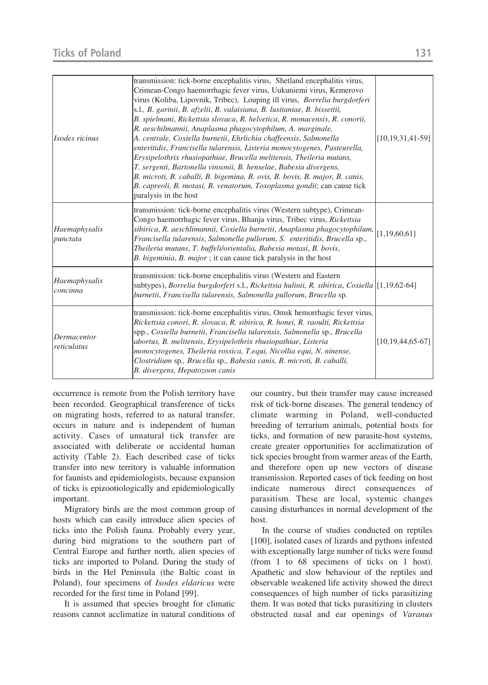| Ixodes ricinus             | transmission: tick-borne encephalitis virus, Shetland encephalitis virus,<br>Crimean-Congo haemorrhagic fever virus, Uukuniemi virus, Kemerovo<br>virus (Koliba, Lipovnik, Tribec), Louping ill virus, Borrelia burgdorferi<br>s.l., B. garinii, B. afzelii, B. valaisiana, B. lusitaniae, B. bissettii,<br>B. spielmani, Rickettsia slovaca, R. helvetica, R. monacensis, R. conorii,<br>R. aeschilmannii, Anaplasma phagocytophilum, A. marginale,<br>A. centrale, Coxiella burnetii, Ehrlichia chaffeensis, Salmonella<br>enteritidis, Francisella tularensis, Listeria monocytogenes, Pasteurella,<br>Erysipelothrix rhusiopathiae, Brucella melitensis, Theileria mutans,<br>T. sergenti, Bartonella vinsonii, B. henselae, Babesia divergens,<br>B. microti, B. caballi, B. bigemina, B. ovis, B. bovis, B. major, B. canis,<br>B. capreoli, B. motasi, B. venatorum, Toxoplasma gondii; can cause tick<br>paralysis in the host | $[10, 19, 31, 41-59]$ |
|----------------------------|----------------------------------------------------------------------------------------------------------------------------------------------------------------------------------------------------------------------------------------------------------------------------------------------------------------------------------------------------------------------------------------------------------------------------------------------------------------------------------------------------------------------------------------------------------------------------------------------------------------------------------------------------------------------------------------------------------------------------------------------------------------------------------------------------------------------------------------------------------------------------------------------------------------------------------------|-----------------------|
| Haemaphysalis<br>punctata  | transmission: tick-borne encephalitis virus (Western subtype), Crimean-<br>Congo haemorrhagic fever virus, Bhanja virus, Tribec virus, Rickettsia<br>sibirica, R. aeschlimannii, Coxiella burnetii, Anaplasma phagocytophilum,<br>Francisella tularensis, Salmonella pullorum, S. enteritidis, Brucella sp.,<br>Theileria mutans, T. buffeli/orientalia, Babesia motasi, B. bovis,<br>B. bigeminia, B. major; it can cause tick paralysis in the host                                                                                                                                                                                                                                                                                                                                                                                                                                                                                  | [1, 19, 60, 61]       |
| Haemaphysalis<br>concinna  | transmission: tick-borne encephalitis virus (Western and Eastern<br>subtypes), Borrelia burgdorferi s.l., Rickettsia hulinii, R. sibirica, Coxiella [[1,19,62-64]<br>burnetii, Francisella tularensis, Salmonella pullorum, Brucella sp.                                                                                                                                                                                                                                                                                                                                                                                                                                                                                                                                                                                                                                                                                               |                       |
| Dermacentor<br>reticulatus | transmission: tick-borne encephalitis virus, Omsk hemorrhagic fever virus,<br>Rickettsia conori, R. slovaca, R. sibirica, R. honei, R. raoulti, Rickettsia<br>spp., Coxiella burnetii, Francisella tularensis, Salmonella sp., Brucella<br>abortus, B. melitensis, Erysipelothrix rhusiopathiae, Listeria<br>monocytogenes, Theileria rossica, T.equi, Nicollia equi, N. ninense,<br>Clostridium sp., Brucella sp., Babesia canis, B. microti, B. caballi,<br>B. divergens, Hepatozoon canis                                                                                                                                                                                                                                                                                                                                                                                                                                           | [10, 19, 44, 65, 67]  |

occurrence is remote from the Polish territory have been recorded. Geographical transference of ticks on migrating hosts, referred to as natural transfer, occurs in nature and is independent of human activity. Cases of unnatural tick transfer are associated with deliberate or accidental human activity (Table 2). Each described case of ticks transfer into new territory is valuable information for faunists and epidemiologists, because expansion of ticks is epizootiologically and epidemiologically important.

Migratory birds are the most common group of hosts which can easily introduce alien species of ticks into the Polish fauna. Probably every year, during bird migrations to the southern part of Central Europe and further north, alien species of ticks are imported to Poland. During the study of birds in the Hel Peninsula (the Baltic coast in Poland), four specimens of *Ixodes eldaricus* were recorded for the first time in Poland [99].

It is assumed that species brought for climatic reasons cannot acclimatize in natural conditions of our country, but their transfer may cause increased risk of tick-borne diseases. The general tendency of climate warming in Poland, well-conducted breeding of terrarium animals, potential hosts for ticks, and formation of new parasite-host systems, create greater opportunities for acclimatization of tick species brought from warmer areas of the Earth, and therefore open up new vectors of disease transmission. Reported cases of tick feeding on host indicate numerous direct consequences of parasitism. These are local, systemic changes causing disturbances in normal development of the host.

In the course of studies conducted on reptiles [100], isolated cases of lizards and pythons infested with exceptionally large number of ticks were found (from 1 to 68 specimens of ticks on 1 host). Apathetic and slow behaviour of the reptiles and observable weakened life activity showed the direct consequences of high number of ticks parasitizing them. It was noted that ticks parasitizing in clusters obstructed nasal and ear openings of *Varanus*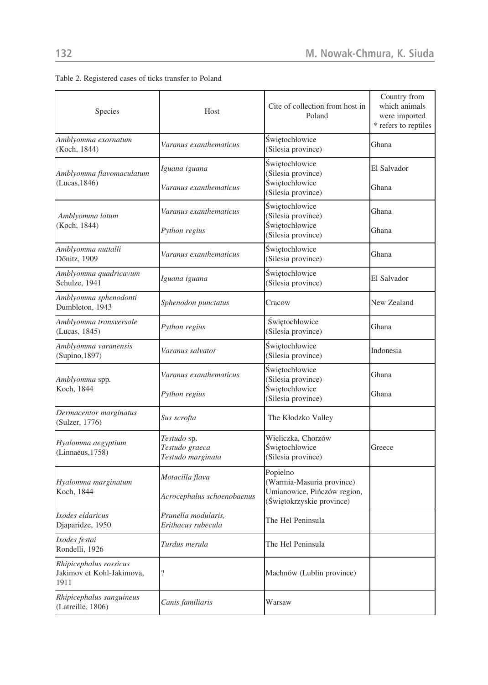| Species                                                           | Host                                                           |                                                                              | Country from<br>which animals<br>were imported<br>* refers to reptiles |  |
|-------------------------------------------------------------------|----------------------------------------------------------------|------------------------------------------------------------------------------|------------------------------------------------------------------------|--|
| Amblyomma exornatum<br>(Koch, 1844)                               | Świętochłowice<br>Varanus exanthematicus<br>(Silesia province) |                                                                              | Ghana                                                                  |  |
| Amblyomma flavomaculatum                                          | Iguana iguana                                                  | Świętochłowice<br>(Silesia province)                                         | El Salvador                                                            |  |
| (Lucas, 1846)                                                     | Varanus exanthematicus                                         | Świętochłowice<br>(Silesia province)                                         | Ghana                                                                  |  |
| Amblyomma latum                                                   | Varanus exanthematicus                                         | Świętochłowice<br>(Silesia province)                                         | Ghana                                                                  |  |
| (Koch, 1844)                                                      | Python regius                                                  | Świętochłowice<br>(Silesia province)                                         | Ghana                                                                  |  |
| Amblyomma nuttalli<br>Dőnitz, 1909                                | Varanus exanthematicus                                         | Świętochłowice<br>(Silesia province)                                         | Ghana                                                                  |  |
| Amblyomma quadricavum<br>Schulze, 1941                            | Iguana iguana                                                  | Świętochłowice<br>(Silesia province)                                         | El Salvador                                                            |  |
| Amblyomma sphenodonti<br>Dumbleton, 1943                          | Sphenodon punctatus                                            | Cracow                                                                       | New Zealand                                                            |  |
| Amblyomma transversale<br>(Lucas, 1845)                           | Python regius                                                  | Świętochłowice<br>(Silesia province)                                         | Ghana                                                                  |  |
| Amblyomma varanensis<br>(Supino, 1897)                            | Varanus salvator                                               | Świętochłowice<br>(Silesia province)                                         | Indonesia                                                              |  |
| Amblyomma spp.<br>Koch, 1844                                      | Varanus exanthematicus<br>Python regius                        | Świętochłowice<br>(Silesia province)<br>Świętochłowice<br>(Silesia province) | Ghana<br>Ghana                                                         |  |
| Dermacentor marginatus<br>(Sulzer, 1776)                          | Sus scrofta                                                    | The Kłodzko Valley                                                           |                                                                        |  |
| Hyalomma aegyptium<br>(Linnaeus, 1758)                            | Testudo sp.<br>Testudo graeca<br>Testudo marginata             | Wieliczka, Chorzów<br>Świętochłowice<br>(Silesia province)                   | Greece                                                                 |  |
| Hyalomma marginatum                                               | Motacilla flava                                                | Popielno<br>(Warmia-Masuria province)                                        |                                                                        |  |
| Koch, 1844                                                        | Acrocephalus schoenobaenus                                     | Umianowice, Pińczów region,<br>(Świętokrzyskie province)                     |                                                                        |  |
| Ixodes eldaricus<br>Djaparidze, 1950                              | Prunella modularis,<br>Erithacus rubecula                      | The Hel Peninsula                                                            |                                                                        |  |
| Ixodes festai<br>Rondelli, 1926                                   | Turdus merula                                                  | The Hel Peninsula                                                            |                                                                        |  |
| Rhipicephalus rossicus<br>Jakimov et Kohl-Jakimova,<br>1911       | ?                                                              | Machnów (Lublin province)                                                    |                                                                        |  |
| Rhipicephalus sanguineus<br>Canis familiaris<br>(Latreille, 1806) |                                                                | Warsaw                                                                       |                                                                        |  |

# Table 2. Registered cases of ticks transfer to Poland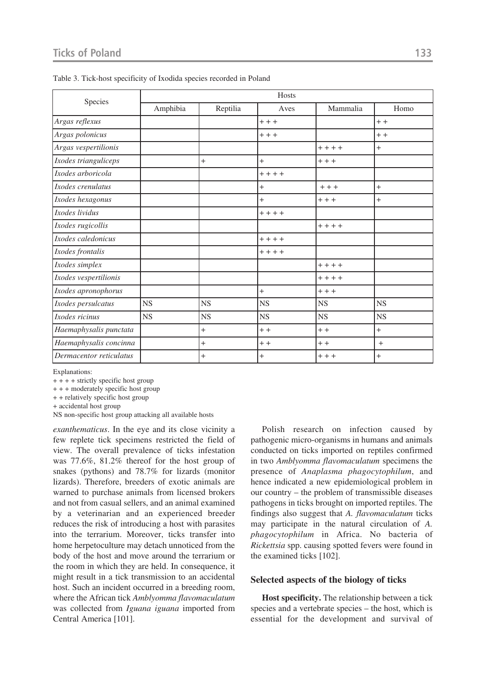|                         | Hosts     |           |           |           |           |  |  |
|-------------------------|-----------|-----------|-----------|-----------|-----------|--|--|
| Species                 | Amphibia  | Reptilia  | Aves      | Mammalia  | Homo      |  |  |
| Argas reflexus          |           |           | $+ + +$   |           | $+ +$     |  |  |
| Argas polonicus         |           |           | $++$      |           | $+ +$     |  |  |
| Argas vespertilionis    |           |           |           | $+ + + +$ | $\ddot{}$ |  |  |
| Ixodes trianguliceps    |           | $\ddot{}$ | $+$       | $++$      |           |  |  |
| Ixodes arboricola       |           |           | $+ + + +$ |           |           |  |  |
| Ixodes crenulatus       |           |           | $^{+}$    | $+ + +$   | $+$       |  |  |
| Ixodes hexagonus        |           |           | $+$       | $++$      | $+$       |  |  |
| Ixodes lividus          |           |           | $+ + + +$ |           |           |  |  |
| Ixodes rugicollis       |           |           |           | $+ + + +$ |           |  |  |
| Ixodes caledonicus      |           |           | $+ + + +$ |           |           |  |  |
| Ixodes frontalis        |           |           | $+ + + +$ |           |           |  |  |
| Ixodes simplex          |           |           |           | $+ + + +$ |           |  |  |
| Ixodes vespertilionis   |           |           |           | $+ + + +$ |           |  |  |
| Ixodes apronophorus     |           |           | $^{+}$    | $++$      |           |  |  |
| Ixodes persulcatus      | <b>NS</b> | <b>NS</b> | <b>NS</b> | <b>NS</b> | <b>NS</b> |  |  |
| Ixodes ricinus          | <b>NS</b> | NS        | <b>NS</b> | <b>NS</b> | <b>NS</b> |  |  |
| Haemaphysalis punctata  |           | $^{+}$    | $+ +$     | $+ +$     | $+$       |  |  |
| Haemaphysalis concinna  |           | $+$       | $+ +$     | $+ +$     | $+$       |  |  |
| Dermacentor reticulatus |           | $\ddot{}$ | $^{+}$    | $++$      | $+$       |  |  |

|  | Table 3. Tick-host specificity of Ixodida species recorded in Poland |  |  |  |
|--|----------------------------------------------------------------------|--|--|--|
|  |                                                                      |  |  |  |

Explanations:

+ + + + strictly specific host group

+ + + moderately specific host group

+ + relatively specific host group

+ accidental host group

NS non-specific host group attacking all available hosts

*exanthematicus*. In the eye and its close vicinity a few replete tick specimens restricted the field of view. The overall prevalence of ticks infestation was 77.6%, 81.2% thereof for the host group of snakes (pythons) and 78.7% for lizards (monitor lizards). Therefore, breeders of exotic animals are warned to purchase animals from licensed brokers and not from casual sellers, and an animal examined by a veterinarian and an experienced breeder reduces the risk of introducing a host with parasites into the terrarium. Moreover, ticks transfer into home herpetoculture may detach unnoticed from the body of the host and move around the terrarium or the room in which they are held. In consequence, it might result in a tick transmission to an accidental host. Such an incident occurred in a breeding room, where the African tick *Amblyomma flavomaculatum* was collected from *Iguana iguana* imported from Central America [101].

Polish research on infection caused by pathogenic micro-organisms in humans and animals conducted on ticks imported on reptiles confirmed in two *Amblyomma flavomaculatum* specimens the presence of *Anaplasma phagocytophilum*, and hence indicated a new epidemiological problem in our country – the problem of transmissible diseases pathogens in ticks brought on imported reptiles. The findings also suggest that *A. flavomaculatum* ticks may participate in the natural circulation of *A. phagocytophilum* in Africa. No bacteria of *Rickettsia* spp. causing spotted fevers were found in the examined ticks [102].

## **Selected aspects of the biology of ticks**

**Host specificity.** The relationship between a tick species and a vertebrate species – the host, which is essential for the development and survival of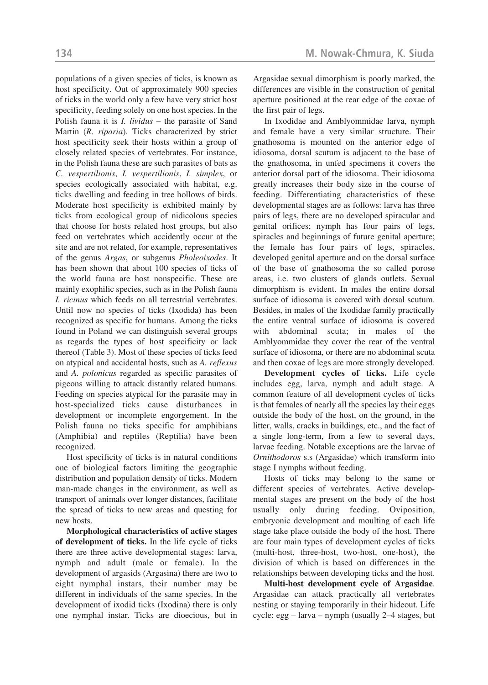populations of a given species of ticks, is known as host specificity. Out of approximately 900 species of ticks in the world only a few have very strict host specificity, feeding solely on one host species. In the Polish fauna it is *I. lividus* – the parasite of Sand Martin (*R. riparia*). Ticks characterized by strict host specificity seek their hosts within a group of closely related species of vertebrates. For instance, in the Polish fauna these are such parasites of bats as *C. vespertilionis*, *I. vespertilionis*, *I. simplex*, or species ecologically associated with habitat, e.g. ticks dwelling and feeding in tree hollows of birds. Moderate host specificity is exhibited mainly by ticks from ecological group of nidicolous species that choose for hosts related host groups, but also feed on vertebrates which accidently occur at the site and are not related, for example, representatives of the genus *Argas*, or subgenus *Pholeoixodes*. It has been shown that about 100 species of ticks of the world fauna are host nonspecific. These are mainly exophilic species, such as in the Polish fauna *I. ricinus* which feeds on all terrestrial vertebrates. Until now no species of ticks (Ixodida) has been recognized as specific for humans. Among the ticks found in Poland we can distinguish several groups as regards the types of host specificity or lack thereof (Table 3). Most of these species of ticks feed on atypical and accidental hosts, such as *A. reflexus* and *A. polonicus* regarded as specific parasites of pigeons willing to attack distantly related humans. Feeding on species atypical for the parasite may in host-specialized ticks cause disturbances in development or incomplete engorgement. In the Polish fauna no ticks specific for amphibians (Amphibia) and reptiles (Reptilia) have been recognized.

Host specificity of ticks is in natural conditions one of biological factors limiting the geographic distribution and population density of ticks. Modern man-made changes in the environment, as well as transport of animals over longer distances, facilitate the spread of ticks to new areas and questing for new hosts.

**Morphological characteristics of active stages of development of ticks.** In the life cycle of ticks there are three active developmental stages: larva, nymph and adult (male or female). In the development of argasids (Argasina) there are two to eight nymphal instars, their number may be different in individuals of the same species. In the development of ixodid ticks (Ixodina) there is only one nymphal instar. Ticks are dioecious, but in

Argasidae sexual dimorphism is poorly marked, the differences are visible in the construction of genital aperture positioned at the rear edge of the coxae of the first pair of legs.

In Ixodidae and Amblyommidae larva, nymph and female have a very similar structure. Their gnathosoma is mounted on the anterior edge of idiosoma, dorsal scutum is adjacent to the base of the gnathosoma, in unfed specimens it covers the anterior dorsal part of the idiosoma. Their idiosoma greatly increases their body size in the course of feeding. Differentiating characteristics of these developmental stages are as follows: larva has three pairs of legs, there are no developed spiracular and genital orifices; nymph has four pairs of legs, spiracles and beginnings of future genital aperture; the female has four pairs of legs, spiracles, developed genital aperture and on the dorsal surface of the base of gnathosoma the so called porose areas, i.e. two clusters of glands outlets. Sexual dimorphism is evident. In males the entire dorsal surface of idiosoma is covered with dorsal scutum. Besides, in males of the Ixodidae family practically the entire ventral surface of idiosoma is covered with abdominal scuta; in males of the Amblyommidae they cover the rear of the ventral surface of idiosoma, or there are no abdominal scuta and then coxae of legs are more strongly developed.

**Development cycles of ticks.** Life cycle includes egg, larva, nymph and adult stage. A common feature of all development cycles of ticks is that females of nearly all the species lay their eggs outside the body of the host, on the ground, in the litter, walls, cracks in buildings, etc., and the fact of a single long-term, from a few to several days, larvae feeding. Notable exceptions are the larvae of *Ornithodoros* s.s (Argasidae) which transform into stage I nymphs without feeding.

Hosts of ticks may belong to the same or different species of vertebrates. Active developmental stages are present on the body of the host usually only during feeding. Oviposition, embryonic development and moulting of each life stage take place outside the body of the host. There are four main types of development cycles of ticks (multi-host, three-host, two-host, one-host), the division of which is based on differences in the relationships between developing ticks and the host.

**Multi-host development cycle of Argasidae**. Argasidae can attack practically all vertebrates nesting or staying temporarily in their hideout. Life cycle: egg – larva – nymph (usually 2–4 stages, but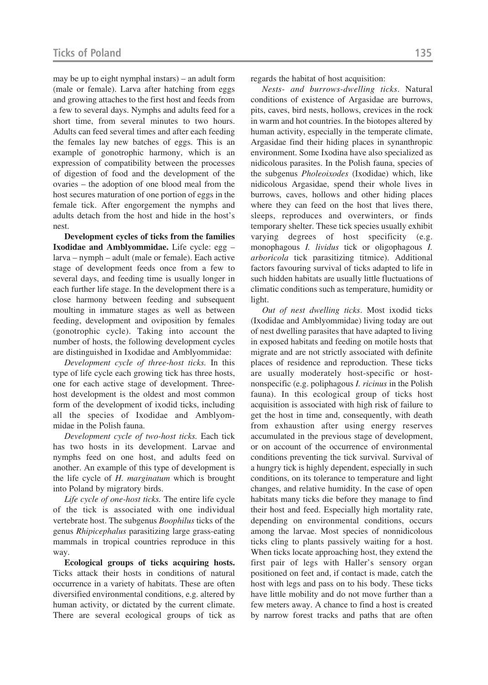may be up to eight nymphal instars) – an adult form (male or female). Larva after hatching from eggs and growing attaches to the first host and feeds from a few to several days. Nymphs and adults feed for a short time, from several minutes to two hours. Adults can feed several times and after each feeding the females lay new batches of eggs. This is an example of gonotrophic harmony, which is an expression of compatibility between the processes of digestion of food and the development of the ovaries – the adoption of one blood meal from the host secures maturation of one portion of eggs in the female tick. After engorgement the nymphs and adults detach from the host and hide in the host's nest.

**Development cycles of ticks from the families Ixodidae and Amblyommidae.** Life cycle: egg – larva – nymph – adult (male or female). Each active stage of development feeds once from a few to several days, and feeding time is usually longer in each further life stage. In the development there is a close harmony between feeding and subsequent moulting in immature stages as well as between feeding, development and oviposition by females (gonotrophic cycle). Taking into account the number of hosts, the following development cycles are distinguished in Ixodidae and Amblyommidae:

*Development cycle of three-host ticks.* In this type of life cycle each growing tick has three hosts, one for each active stage of development. Threehost development is the oldest and most common form of the development of ixodid ticks, including all the species of Ixodidae and Amblyommidae in the Polish fauna.

*Development cycle of two-host ticks.* Each tick has two hosts in its development. Larvae and nymphs feed on one host, and adults feed on another. An example of this type of development is the life cycle of *H. marginatum* which is brought into Poland by migratory birds.

*Life cycle of one-host ticks.* The entire life cycle of the tick is associated with one individual vertebrate host. The subgenus *Boophilus* ticks of the genus *Rhipicephalus* parasitizing large grass-eating mammals in tropical countries reproduce in this way.

**Ecological groups of ticks acquiring hosts.** Ticks attack their hosts in conditions of natural occurrence in a variety of habitats. These are often diversified environmental conditions, e.g. altered by human activity, or dictated by the current climate. There are several ecological groups of tick as

regards the habitat of host acquisition:

*Nests- and burrows-dwelling ticks*. Natural conditions of existence of Argasidae are burrows, pits, caves, bird nests, hollows, crevices in the rock in warm and hot countries. In the biotopes altered by human activity, especially in the temperate climate, Argasidae find their hiding places in synanthropic environment. Some Ixodina have also specialized as nidicolous parasites. In the Polish fauna, species of the subgenus *Pholeoixodes* (Ixodidae) which, like nidicolous Argasidae, spend their whole lives in burrows, caves, hollows and other hiding places where they can feed on the host that lives there, sleeps, reproduces and overwinters, or finds temporary shelter. These tick species usually exhibit varying degrees of host specificity (e.g. monophagous *I. lividus* tick or oligophagous *I. arboricola* tick parasitizing titmice). Additional factors favouring survival of ticks adapted to life in such hidden habitats are usually little fluctuations of climatic conditions such as temperature, humidity or light.

*Out of nest dwelling ticks*. Most ixodid ticks (Ixodidae and Amblyommidae) living today are out of nest dwelling parasites that have adapted to living in exposed habitats and feeding on motile hosts that migrate and are not strictly associated with definite places of residence and reproduction. These ticks are usually moderately host-specific or hostnonspecific (e.g. poliphagous *I. ricinus* in the Polish fauna). In this ecological group of ticks host acquisition is associated with high risk of failure to get the host in time and, consequently, with death from exhaustion after using energy reserves accumulated in the previous stage of development, or on account of the occurrence of environmental conditions preventing the tick survival. Survival of a hungry tick is highly dependent, especially in such conditions, on its tolerance to temperature and light changes, and relative humidity. In the case of open habitats many ticks die before they manage to find their host and feed. Especially high mortality rate, depending on environmental conditions, occurs among the larvae. Most species of nonnidicolous ticks cling to plants passively waiting for a host. When ticks locate approaching host, they extend the first pair of legs with Haller's sensory organ positioned on feet and, if contact is made, catch the host with legs and pass on to his body. These ticks have little mobility and do not move further than a few meters away. A chance to find a host is created by narrow forest tracks and paths that are often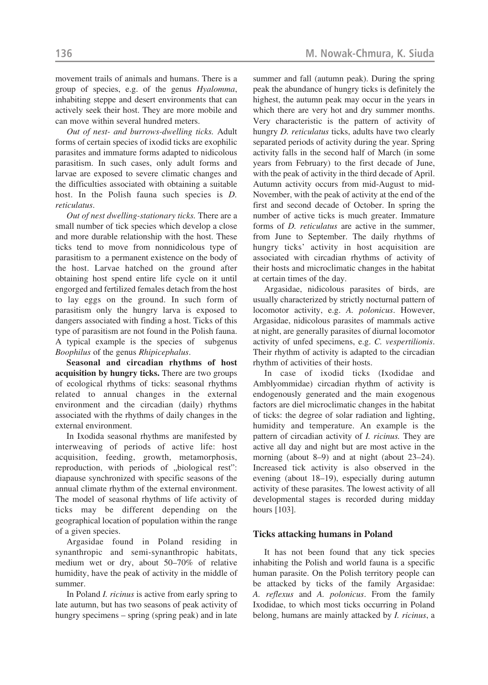movement trails of animals and humans. There is a group of species, e.g. of the genus *Hyalomma*, inhabiting steppe and desert environments that can actively seek their host. They are more mobile and can move within several hundred meters.

*Out of nest- and burrows-dwelling ticks.* Adult forms of certain species of ixodid ticks are exophilic parasites and immature forms adapted to nidicolous parasitism. In such cases, only adult forms and larvae are exposed to severe climatic changes and the difficulties associated with obtaining a suitable host. In the Polish fauna such species is *D. reticulatus*.

*Out of nest dwelling-stationary ticks.* There are a small number of tick species which develop a close and more durable relationship with the host. These ticks tend to move from nonnidicolous type of parasitism to a permanent existence on the body of the host. Larvae hatched on the ground after obtaining host spend entire life cycle on it until engorged and fertilized females detach from the host to lay eggs on the ground. In such form of parasitism only the hungry larva is exposed to dangers associated with finding a host. Ticks of this type of parasitism are not found in the Polish fauna. A typical example is the species of subgenus *Boophilus* of the genus *Rhipicephalus*.

**Seasonal and circadian rhythms of host acquisition by hungry ticks.** There are two groups of ecological rhythms of ticks: seasonal rhythms related to annual changes in the external environment and the circadian (daily) rhythms associated with the rhythms of daily changes in the external environment.

In Ixodida seasonal rhythms are manifested by interweaving of periods of active life: host acquisition, feeding, growth, metamorphosis, reproduction, with periods of "biological rest": diapause synchronized with specific seasons of the annual climate rhythm of the external environment. The model of seasonal rhythms of life activity of ticks may be different depending on the geographical location of population within the range of a given species.

Argasidae found in Poland residing in synanthropic and semi-synanthropic habitats, medium wet or dry, about 50–70% of relative humidity, have the peak of activity in the middle of summer.

In Poland *I. ricinus* is active from early spring to late autumn, but has two seasons of peak activity of hungry specimens – spring (spring peak) and in late

summer and fall (autumn peak). During the spring peak the abundance of hungry ticks is definitely the highest, the autumn peak may occur in the years in which there are very hot and dry summer months. Very characteristic is the pattern of activity of hungry *D. reticulatus* ticks, adults have two clearly separated periods of activity during the year. Spring activity falls in the second half of March (in some years from February) to the first decade of June, with the peak of activity in the third decade of April. Autumn activity occurs from mid-August to mid-November, with the peak of activity at the end of the first and second decade of October. In spring the number of active ticks is much greater. Immature forms of *D. reticulatus* are active in the summer, from June to September. The daily rhythms of hungry ticks' activity in host acquisition are associated with circadian rhythms of activity of their hosts and microclimatic changes in the habitat at certain times of the day.

Argasidae, nidicolous parasites of birds, are usually characterized by strictly nocturnal pattern of locomotor activity, e.g. *A. polonicus*. However, Argasidae, nidicolous parasites of mammals active at night, are generally parasites of diurnal locomotor activity of unfed specimens, e.g. *C. vespertilionis*. Their rhythm of activity is adapted to the circadian rhythm of activities of their hosts.

In case of ixodid ticks (Ixodidae and Amblyommidae) circadian rhythm of activity is endogenously generated and the main exogenous factors are diel microclimatic changes in the habitat of ticks: the degree of solar radiation and lighting, humidity and temperature. An example is the pattern of circadian activity of *I. ricinus.* They are active all day and night but are most active in the morning (about 8–9) and at night (about 23–24). Increased tick activity is also observed in the evening (about 18–19), especially during autumn activity of these parasites. The lowest activity of all developmental stages is recorded during midday hours [103].

## **Ticks attacking humans in Poland**

It has not been found that any tick species inhabiting the Polish and world fauna is a specific human parasite. On the Polish territory people can be attacked by ticks of the family Argasidae: *A. reflexus* and *A. polonicus*. From the family Ixodidae, to which most ticks occurring in Poland belong, humans are mainly attacked by *I. ricinus*, a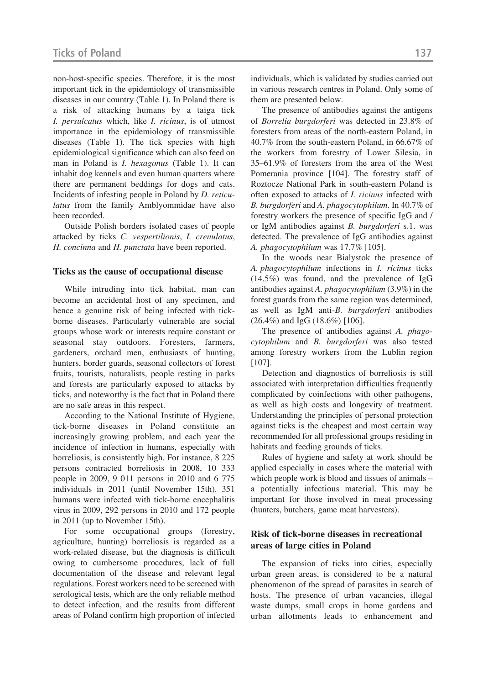non-host-specific species. Therefore, it is the most important tick in the epidemiology of transmissible diseases in our country (Table 1). In Poland there is a risk of attacking humans by a taiga tick *I. persulcatus* which, like *I. ricinus*, is of utmost importance in the epidemiology of transmissible diseases (Table 1). The tick species with high epidemiological significance which can also feed on man in Poland is *I. hexagonus* (Table 1). It can inhabit dog kennels and even human quarters where there are permanent beddings for dogs and cats. Incidents of infesting people in Poland by *D. reticulatus* from the family Amblyommidae have also been recorded.

Outside Polish borders isolated cases of people attacked by ticks *C. vespertilionis*, *I. crenulatus*, *H. concinna* and *H. punctata* have been reported.

#### **Ticks as the cause of occupational disease**

While intruding into tick habitat, man can become an accidental host of any specimen, and hence a genuine risk of being infected with tickborne diseases. Particularly vulnerable are social groups whose work or interests require constant or seasonal stay outdoors. Foresters, farmers, gardeners, orchard men, enthusiasts of hunting, hunters, border guards, seasonal collectors of forest fruits, tourists, naturalists, people resting in parks and forests are particularly exposed to attacks by ticks, and noteworthy is the fact that in Poland there are no safe areas in this respect.

According to the National Institute of Hygiene, tick-borne diseases in Poland constitute an increasingly growing problem, and each year the incidence of infection in humans, especially with borreliosis, is consistently high. For instance, 8 225 persons contracted borreliosis in 2008, 10 333 people in 2009, 9 011 persons in 2010 and 6 775 individuals in 2011 (until November 15th). 351 humans were infected with tick-borne encephalitis virus in 2009, 292 persons in 2010 and 172 people in 2011 (up to November 15th).

For some occupational groups (forestry, agriculture, hunting) borreliosis is regarded as a work-related disease, but the diagnosis is difficult owing to cumbersome procedures, lack of full documentation of the disease and relevant legal regulations. Forest workers need to be screened with serological tests, which are the only reliable method to detect infection, and the results from different areas of Poland confirm high proportion of infected individuals, which is validated by studies carried out in various research centres in Poland. Only some of them are presented below.

The presence of antibodies against the antigens of *Borrelia burgdorferi* was detected in 23.8% of foresters from areas of the north-eastern Poland, in 40.7% from the south-eastern Poland, in 66.67% of the workers from forestry of Lower Silesia, in 35–61.9% of foresters from the area of the West Pomerania province [104]. The forestry staff of Roztocze National Park in south-eastern Poland is often exposed to attacks of *I. ricinus* infected with *B. burgdorferi* and *A. phagocytophilum*. In 40.7% of forestry workers the presence of specific IgG and / or IgM antibodies against *B. burgdorferi* s.1. was detected. The prevalence of IgG antibodies against *A. phagocytophilum* was 17.7% [105].

In the woods near Bialystok the presence of *A. phagocytophilum* infections in *I. ricinus* ticks (14.5%) was found, and the prevalence of IgG antibodies against *A. phagocytophilum* (3.9%) in the forest guards from the same region was determined, as well as IgM anti-*B. burgdorferi* antibodies (26.4%) and IgG (18.6%) [106].

The presence of antibodies against *A. phagocytophilum* and *B. burgdorferi* was also tested among forestry workers from the Lublin region [107].

Detection and diagnostics of borreliosis is still associated with interpretation difficulties frequently complicated by coinfections with other pathogens, as well as high costs and longevity of treatment. Understanding the principles of personal protection against ticks is the cheapest and most certain way recommended for all professional groups residing in habitats and feeding grounds of ticks.

Rules of hygiene and safety at work should be applied especially in cases where the material with which people work is blood and tissues of animals – a potentially infectious material. This may be important for those involved in meat processing (hunters, butchers, game meat harvesters).

# **Risk of tick-borne diseases in recreational areas of large cities in Poland**

The expansion of ticks into cities, especially urban green areas, is considered to be a natural phenomenon of the spread of parasites in search of hosts. The presence of urban vacancies, illegal waste dumps, small crops in home gardens and urban allotments leads to enhancement and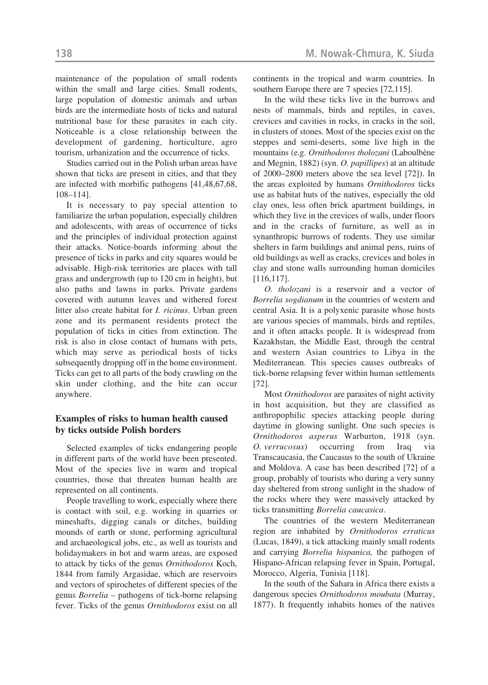maintenance of the population of small rodents within the small and large cities. Small rodents, large population of domestic animals and urban birds are the intermediate hosts of ticks and natural nutritional base for these parasites in each city. Noticeable is a close relationship between the development of gardening, horticulture, agro tourism, urbanization and the occurrence of ticks.

Studies carried out in the Polish urban areas have shown that ticks are present in cities, and that they are infected with morbific pathogens [41,48,67,68, 108–114].

It is necessary to pay special attention to familiarize the urban population, especially children and adolescents, with areas of occurrence of ticks and the principles of individual protection against their attacks. Notice-boards informing about the presence of ticks in parks and city squares would be advisable. High-risk territories are places with tall grass and undergrowth (up to 120 cm in height), but also paths and lawns in parks. Private gardens covered with autumn leaves and withered forest litter also create habitat for *I. ricinus*. Urban green zone and its permanent residents protect the population of ticks in cities from extinction. The risk is also in close contact of humans with pets, which may serve as periodical hosts of ticks subsequently dropping off in the home environment. Ticks can get to all parts of the body crawling on the skin under clothing, and the bite can occur anywhere.

# **Examples of risks to human health caused by ticks outside Polish borders**

Selected examples of ticks endangering people in different parts of the world have been presented. Most of the species live in warm and tropical countries, those that threaten human health are represented on all continents.

People travelling to work, especially where there is contact with soil, e.g. working in quarries or mineshafts, digging canals or ditches, building mounds of earth or stone, performing agricultural and archaeological jobs, etc., as well as tourists and holidaymakers in hot and warm areas, are exposed to attack by ticks of the genus *Ornithodoros* Koch, 1844 from family Argasidae, which are reservoirs and vectors of spirochetes of different species of the genus *Borrelia –* pathogens of tick-borne relapsing fever. Ticks of the genus *Ornithodoros* exist on all continents in the tropical and warm countries. In southern Europe there are 7 species [72,115].

In the wild these ticks live in the burrows and nests of mammals, birds and reptiles, in caves, crevices and cavities in rocks, in cracks in the soil, in clusters of stones. Most of the species exist on the steppes and semi-deserts, some live high in the mountains (e.g. *Ornithodoros tholozani* (Laboulbène and Megnin, 1882) (syn. *O. papillipes*) at an altitude of 2000–2800 meters above the sea level [72]). In the areas exploited by humans *Ornithodoros* ticks use as habitat huts of the natives, especially the old clay ones, less often brick apartment buildings, in which they live in the crevices of walls, under floors and in the cracks of furniture, as well as in synanthropic burrows of rodents. They use similar shelters in farm buildings and animal pens, ruins of old buildings as well as cracks, crevices and holes in clay and stone walls surrounding human domiciles [116,117].

*O. tholozani* is a reservoir and a vector of *Borrelia sogdianum* in the countries of western and central Asia. It is a polyxenic parasite whose hosts are various species of mammals, birds and reptiles, and it often attacks people. It is widespread from Kazakhstan, the Middle East, through the central and western Asian countries to Libya in the Mediterranean. This species causes outbreaks of tick-borne relapsing fever within human settlements [72].

Most *Ornithodoros* are parasites of night activity in host acquisition, but they are classified as anthropophilic species attacking people during daytime in glowing sunlight. One such species is *Ornithodoros asperus* Warburton, 1918 (syn. *O. verrucosus*) occurring from Iraq via Transcaucasia, the Caucasus to the south of Ukraine and Moldova. A case has been described [72] of a group, probably of tourists who during a very sunny day sheltered from strong sunlight in the shadow of the rocks where they were massively attacked by ticks transmitting *Borrelia caucasica*.

The countries of the western Mediterranean region are inhabited by *Ornithodoros erraticus* (Lucas, 1849), a tick attacking mainly small rodents and carrying *Borrelia hispanica,* the pathogen of Hispano-African relapsing fever in Spain, Portugal, Morocco, Algeria, Tunisia [118].

In the south of the Sahara in Africa there exists a dangerous species *Ornithodoros moubata* (Murray, 1877). It frequently inhabits homes of the natives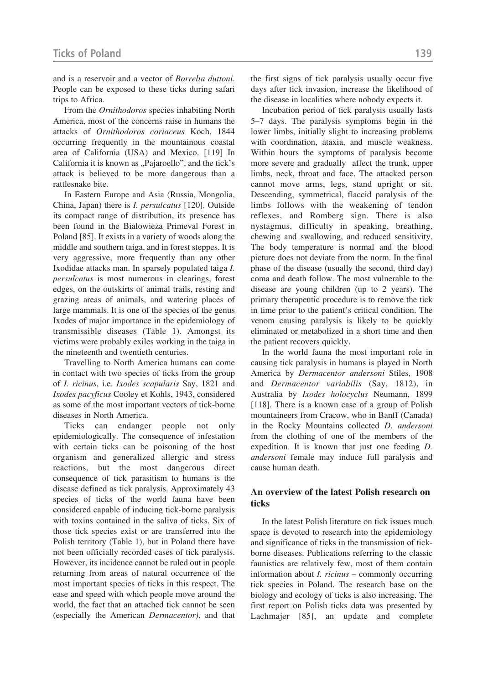and is a reservoir and a vector of *Borrelia duttoni*. People can be exposed to these ticks during safari trips to Africa.

From the *Ornithodoros* species inhabiting North America, most of the concerns raise in humans the attacks of *Ornithodoros coriaceus* Koch, 1844 occurring frequently in the mountainous coastal area of California (USA) and Mexico. [119] In California it is known as "Pajaroello", and the tick's attack is believed to be more dangerous than a rattlesnake bite.

In Eastern Europe and Asia (Russia, Mongolia, China, Japan) there is *I. persulcatus* [120]. Outside its compact range of distribution, its presence has been found in the Bialowieża Primeval Forest in Poland [85]. It exists in a variety of woods along the middle and southern taiga, and in forest steppes. It is very aggressive, more frequently than any other Ixodidae attacks man. In sparsely populated taiga *I. persulcatus* is most numerous in clearings, forest edges, on the outskirts of animal trails, resting and grazing areas of animals, and watering places of large mammals. It is one of the species of the genus Ixodes of major importance in the epidemiology of transmissible diseases (Table 1). Amongst its victims were probably exiles working in the taiga in the nineteenth and twentieth centuries.

Travelling to North America humans can come in contact with two species of ticks from the group of *I. ricinus*, i.e. *Ixodes scapularis* Say, 1821 and *Ixodes pacyficus* Cooley et Kohls, 1943, considered as some of the most important vectors of tick-borne diseases in North America.

Ticks can endanger people not only epidemiologically. The consequence of infestation with certain ticks can be poisoning of the host organism and generalized allergic and stress reactions, but the most dangerous direct consequence of tick parasitism to humans is the disease defined as tick paralysis. Approximately 43 species of ticks of the world fauna have been considered capable of inducing tick-borne paralysis with toxins contained in the saliva of ticks. Six of those tick species exist or are transferred into the Polish territory (Table 1), but in Poland there have not been officially recorded cases of tick paralysis. However, its incidence cannot be ruled out in people returning from areas of natural occurrence of the most important species of ticks in this respect. The ease and speed with which people move around the world, the fact that an attached tick cannot be seen (especially the American *Dermacentor)*, and that the first signs of tick paralysis usually occur five days after tick invasion, increase the likelihood of the disease in localities where nobody expects it.

Incubation period of tick paralysis usually lasts 5–7 days. The paralysis symptoms begin in the lower limbs, initially slight to increasing problems with coordination, ataxia, and muscle weakness. Within hours the symptoms of paralysis become more severe and gradually affect the trunk, upper limbs, neck, throat and face. The attacked person cannot move arms, legs, stand upright or sit. Descending, symmetrical, flaccid paralysis of the limbs follows with the weakening of tendon reflexes, and Romberg sign. There is also nystagmus, difficulty in speaking, breathing, chewing and swallowing, and reduced sensitivity. The body temperature is normal and the blood picture does not deviate from the norm. In the final phase of the disease (usually the second, third day) coma and death follow. The most vulnerable to the disease are young children (up to 2 years). The primary therapeutic procedure is to remove the tick in time prior to the patient's critical condition. The venom causing paralysis is likely to be quickly eliminated or metabolized in a short time and then the patient recovers quickly.

In the world fauna the most important role in causing tick paralysis in humans is played in North America by *Dermacentor andersoni* Stiles, 1908 and *Dermacentor variabilis* (Say, 1812), in Australia by *Ixodes holocyclus* Neumann, 1899 [118]. There is a known case of a group of Polish mountaineers from Cracow, who in Banff (Canada) in the Rocky Mountains collected *D. andersoni* from the clothing of one of the members of the expedition. It is known that just one feeding *D. andersoni* female may induce full paralysis and cause human death.

# **An overview of the latest Polish research on ticks**

In the latest Polish literature on tick issues much space is devoted to research into the epidemiology and significance of ticks in the transmission of tickborne diseases. Publications referring to the classic faunistics are relatively few, most of them contain information about *I. ricinus* – commonly occurring tick species in Poland. The research base on the biology and ecology of ticks is also increasing. The first report on Polish ticks data was presented by Lachmajer [85], an update and complete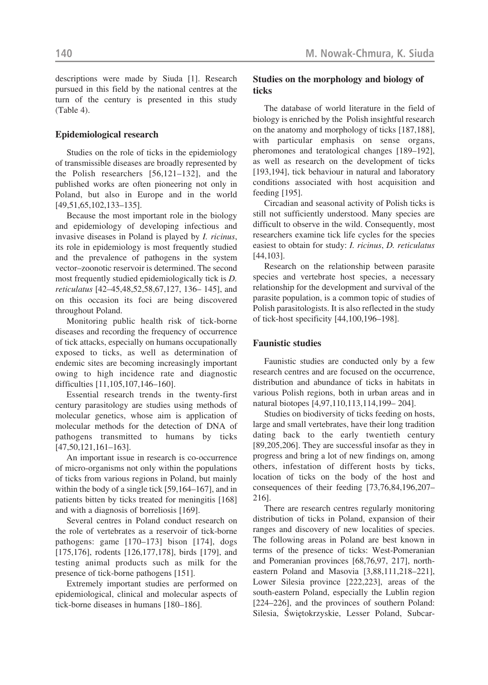descriptions were made by Siuda [1]. Research pursued in this field by the national centres at the turn of the century is presented in this study (Table 4).

### **Epidemiological research**

Studies on the role of ticks in the epidemiology of transmissible diseases are broadly represented by the Polish researchers [56,121–132], and the published works are often pioneering not only in Poland, but also in Europe and in the world [49,51,65,102,133–135].

Because the most important role in the biology and epidemiology of developing infectious and invasive diseases in Poland is played by *I. ricinus*, its role in epidemiology is most frequently studied and the prevalence of pathogens in the system vector–zoonotic reservoir is determined. The second most frequently studied epidemiologically tick is *D. reticulatus* [42–45,48,52,58,67,127, 136– 145], and on this occasion its foci are being discovered throughout Poland.

Monitoring public health risk of tick-borne diseases and recording the frequency of occurrence of tick attacks, especially on humans occupationally exposed to ticks, as well as determination of endemic sites are becoming increasingly important owing to high incidence rate and diagnostic difficulties [11,105,107,146–160].

Essential research trends in the twenty-first century parasitology are studies using methods of molecular genetics, whose aim is application of molecular methods for the detection of DNA of pathogens transmitted to humans by ticks [47,50,121,161–163].

An important issue in research is co-occurrence of micro-organisms not only within the populations of ticks from various regions in Poland, but mainly within the body of a single tick [59,164–167], and in patients bitten by ticks treated for meningitis [168] and with a diagnosis of borreliosis [169].

Several centres in Poland conduct research on the role of vertebrates as a reservoir of tick-borne pathogens: game [170–173] bison [174], dogs [175,176], rodents [126,177,178], birds [179], and testing animal products such as milk for the presence of tick-borne pathogens [151].

Extremely important studies are performed on epidemiological, clinical and molecular aspects of tick-borne diseases in humans [180–186].

### **Studies on the morphology and biology of ticks**

The database of world literature in the field of biology is enriched by the Polish insightful research on the anatomy and morphology of ticks [187,188], with particular emphasis on sense organs, pheromones and teratological changes [189–192], as well as research on the development of ticks [193,194], tick behaviour in natural and laboratory conditions associated with host acquisition and feeding [195].

Circadian and seasonal activity of Polish ticks is still not sufficiently understood. Many species are difficult to observe in the wild. Consequently, most researchers examine tick life cycles for the species easiest to obtain for study: *I. ricinus*, *D. reticulatus* [44,103].

Research on the relationship between parasite species and vertebrate host species, a necessary relationship for the development and survival of the parasite population, is a common topic of studies of Polish parasitologists. It is also reflected in the study of tick-host specificity [44,100,196–198].

#### **Faunistic studies**

Faunistic studies are conducted only by a few research centres and are focused on the occurrence, distribution and abundance of ticks in habitats in various Polish regions, both in urban areas and in natural biotopes [4,97,110,113,114,199– 204].

Studies on biodiversity of ticks feeding on hosts, large and small vertebrates, have their long tradition dating back to the early twentieth century [89,205,206]. They are successful insofar as they in progress and bring a lot of new findings on, among others, infestation of different hosts by ticks, location of ticks on the body of the host and consequences of their feeding [73,76,84,196,207– 216].

There are research centres regularly monitoring distribution of ticks in Poland, expansion of their ranges and discovery of new localities of species. The following areas in Poland are best known in terms of the presence of ticks: West-Pomeranian and Pomeranian provinces [68,76,97, 217], northeastern Poland and Masovia [3,88,111,218–221], Lower Silesia province [222,223], areas of the south-eastern Poland, especially the Lublin region [224–226], and the provinces of southern Poland: Silesia, Świętokrzyskie, Lesser Poland, Subcar-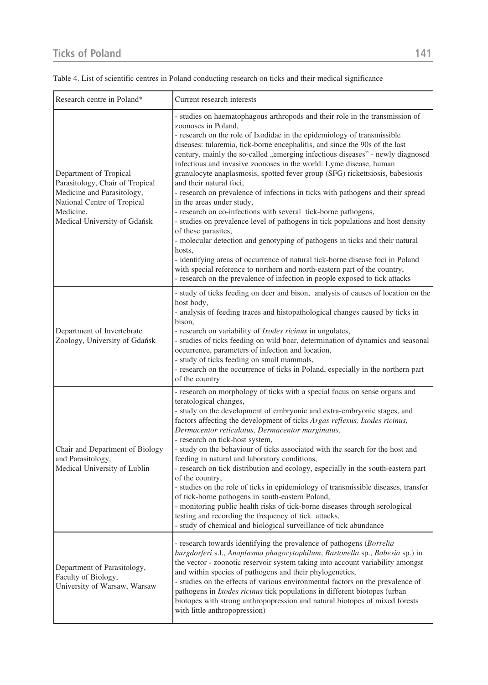| Research centre in Poland*                                                                                                                                          | Current research interests                                                                                                                                                                                                                                                                                                                                                                                                                                                                                                                                                                                                                                                                                                                                                                                                                                                                                                                                                                                                                                                                                                                                            |  |  |  |
|---------------------------------------------------------------------------------------------------------------------------------------------------------------------|-----------------------------------------------------------------------------------------------------------------------------------------------------------------------------------------------------------------------------------------------------------------------------------------------------------------------------------------------------------------------------------------------------------------------------------------------------------------------------------------------------------------------------------------------------------------------------------------------------------------------------------------------------------------------------------------------------------------------------------------------------------------------------------------------------------------------------------------------------------------------------------------------------------------------------------------------------------------------------------------------------------------------------------------------------------------------------------------------------------------------------------------------------------------------|--|--|--|
| Department of Tropical<br>Parasitology, Chair of Tropical<br>Medicine and Parasitology,<br>National Centre of Tropical<br>Medicine,<br>Medical University of Gdańsk | - studies on haematophagous arthropods and their role in the transmission of<br>zoonoses in Poland,<br>- research on the role of Ixodidae in the epidemiology of transmissible<br>diseases: tularemia, tick-borne encephalitis, and since the 90s of the last<br>century, mainly the so-called "emerging infectious diseases" - newly diagnosed<br>infectious and invasive zoonoses in the world: Lyme disease, human<br>granulocyte anaplasmosis, spotted fever group (SFG) rickettsiosis, babesiosis<br>and their natural foci,<br>- research on prevalence of infections in ticks with pathogens and their spread<br>in the areas under study,<br>- research on co-infections with several tick-borne pathogens,<br>- studies on prevalence level of pathogens in tick populations and host density<br>of these parasites,<br>- molecular detection and genotyping of pathogens in ticks and their natural<br>hosts,<br>- identifying areas of occurrence of natural tick-borne disease foci in Poland<br>with special reference to northern and north-eastern part of the country,<br>- research on the prevalence of infection in people exposed to tick attacks |  |  |  |
| Department of Invertebrate<br>Zoology, University of Gdańsk                                                                                                         | - study of ticks feeding on deer and bison, analysis of causes of location on the<br>host body,<br>- analysis of feeding traces and histopathological changes caused by ticks in<br>bison,<br>- research on variability of <i>Ixodes ricinus</i> in ungulates,<br>- studies of ticks feeding on wild boar, determination of dynamics and seasonal<br>occurrence, parameters of infection and location,<br>- study of ticks feeding on small mammals,<br>- research on the occurrence of ticks in Poland, especially in the northern part<br>of the country                                                                                                                                                                                                                                                                                                                                                                                                                                                                                                                                                                                                            |  |  |  |
| Chair and Department of Biology<br>and Parasitology,<br>Medical University of Lublin                                                                                | - research on morphology of ticks with a special focus on sense organs and<br>teratological changes,<br>- study on the development of embryonic and extra-embryonic stages, and<br>factors affecting the development of ticks Argas reflexus, Ixodes ricinus,<br>Dermacentor reticulatus, Dermacentor marginatus,<br>- research on tick-host system,<br>- study on the behaviour of ticks associated with the search for the host and<br>feeding in natural and laboratory conditions,<br>- research on tick distribution and ecology, especially in the south-eastern part<br>of the country,<br>- studies on the role of ticks in epidemiology of transmissible diseases, transfer<br>of tick-borne pathogens in south-eastern Poland,<br>- monitoring public health risks of tick-borne diseases through serological<br>testing and recording the frequency of tick attacks,<br>- study of chemical and biological surveillance of tick abundance                                                                                                                                                                                                                  |  |  |  |
| Department of Parasitology,<br>Faculty of Biology,<br>University of Warsaw, Warsaw                                                                                  | - research towards identifying the prevalence of pathogens (Borrelia<br>burgdorferi s.l., Anaplasma phagocytophilum, Bartonella sp., Babesia sp.) in<br>the vector - zoonotic reservoir system taking into account variability amongst<br>and within species of pathogens and their phylogenetics,<br>- studies on the effects of various environmental factors on the prevalence of<br>pathogens in <i>Ixodes ricinus</i> tick populations in different biotopes (urban<br>biotopes with strong anthropopression and natural biotopes of mixed forests<br>with little anthropopression)                                                                                                                                                                                                                                                                                                                                                                                                                                                                                                                                                                              |  |  |  |

## Table 4. List of scientific centres in Poland conducting research on ticks and their medical significance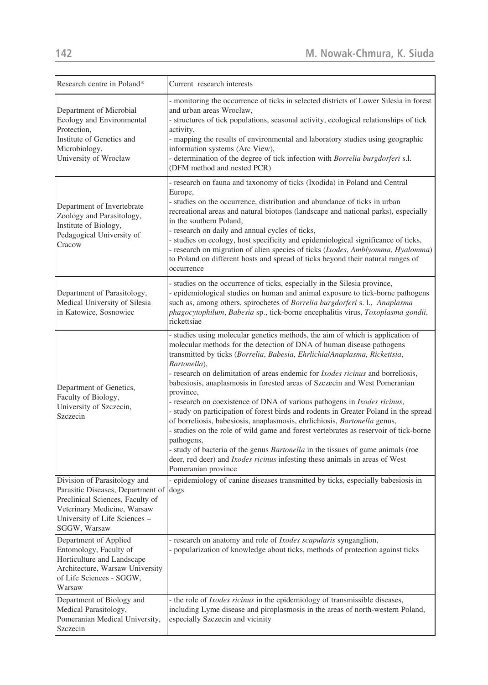| Research centre in Poland*                                                                                                                                                            | Current research interests                                                                                                                                                                                                                                                                                                                                                                                                                                                                                                                                                                                                                                                                                                                                                                                                                                                                                                                                                                        |  |  |  |
|---------------------------------------------------------------------------------------------------------------------------------------------------------------------------------------|---------------------------------------------------------------------------------------------------------------------------------------------------------------------------------------------------------------------------------------------------------------------------------------------------------------------------------------------------------------------------------------------------------------------------------------------------------------------------------------------------------------------------------------------------------------------------------------------------------------------------------------------------------------------------------------------------------------------------------------------------------------------------------------------------------------------------------------------------------------------------------------------------------------------------------------------------------------------------------------------------|--|--|--|
| Department of Microbial<br>Ecology and Environmental<br>Protection,<br>Institute of Genetics and<br>Microbiology,<br>University of Wrocław                                            | - monitoring the occurrence of ticks in selected districts of Lower Silesia in forest<br>and urban areas Wrocław,<br>- structures of tick populations, seasonal activity, ecological relationships of tick<br>activity,<br>- mapping the results of environmental and laboratory studies using geographic<br>information systems (Arc View),<br>- determination of the degree of tick infection with Borrelia burgdorferi s.l.<br>(DFM method and nested PCR)                                                                                                                                                                                                                                                                                                                                                                                                                                                                                                                                     |  |  |  |
| Department of Invertebrate<br>Zoology and Parasitology,<br>Institute of Biology,<br>Pedagogical University of<br>Cracow                                                               | - research on fauna and taxonomy of ticks (Ixodida) in Poland and Central<br>Europe,<br>- studies on the occurrence, distribution and abundance of ticks in urban<br>recreational areas and natural biotopes (landscape and national parks), especially<br>in the southern Poland,<br>- research on daily and annual cycles of ticks,<br>- studies on ecology, host specificity and epidemiological significance of ticks,<br>- research on migration of alien species of ticks (Ixodes, Amblyomma, Hyalomma)<br>to Poland on different hosts and spread of ticks beyond their natural ranges of<br>occurrence                                                                                                                                                                                                                                                                                                                                                                                    |  |  |  |
| Department of Parasitology,<br>Medical University of Silesia<br>in Katowice, Sosnowiec                                                                                                | - studies on the occurrence of ticks, especially in the Silesia province,<br>- epidemiological studies on human and animal exposure to tick-borne pathogens<br>such as, among others, spirochetes of Borrelia burgdorferi s. l., Anaplasma<br>phagocytophilum, Babesia sp., tick-borne encephalitis virus, Toxoplasma gondii,<br>rickettsiae                                                                                                                                                                                                                                                                                                                                                                                                                                                                                                                                                                                                                                                      |  |  |  |
| Department of Genetics,<br>Faculty of Biology,<br>University of Szczecin,<br>Szczecin                                                                                                 | - studies using molecular genetics methods, the aim of which is application of<br>molecular methods for the detection of DNA of human disease pathogens<br>transmitted by ticks (Borrelia, Babesia, Ehrlichia/Anaplasma, Rickettsia,<br>Bartonella),<br>- research on delimitation of areas endemic for Ixodes ricinus and borreliosis,<br>babesiosis, anaplasmosis in forested areas of Szczecin and West Pomeranian<br>province,<br>- research on coexistence of DNA of various pathogens in <i>Ixodes ricinus</i> ,<br>- study on participation of forest birds and rodents in Greater Poland in the spread<br>of borreliosis, babesiosis, anaplasmosis, ehrlichiosis, Bartonella genus,<br>- studies on the role of wild game and forest vertebrates as reservoir of tick-borne<br>pathogens,<br>- study of bacteria of the genus <i>Bartonella</i> in the tissues of game animals (roe<br>deer, red deer) and Ixodes ricinus infesting these animals in areas of West<br>Pomeranian province |  |  |  |
| Division of Parasitology and<br>Parasitic Diseases, Department of<br>Preclinical Sciences, Faculty of<br>Veterinary Medicine, Warsaw<br>University of Life Sciences -<br>SGGW, Warsaw | - epidemiology of canine diseases transmitted by ticks, especially babesiosis in<br>dogs                                                                                                                                                                                                                                                                                                                                                                                                                                                                                                                                                                                                                                                                                                                                                                                                                                                                                                          |  |  |  |
| Department of Applied<br>Entomology, Faculty of<br>Horticulture and Landscape<br>Architecture, Warsaw University<br>of Life Sciences - SGGW,<br>Warsaw                                | - research on anatomy and role of Ixodes scapularis synganglion,<br>- popularization of knowledge about ticks, methods of protection against ticks                                                                                                                                                                                                                                                                                                                                                                                                                                                                                                                                                                                                                                                                                                                                                                                                                                                |  |  |  |
| Department of Biology and<br>Medical Parasitology,<br>Pomeranian Medical University,<br>Szczecin                                                                                      | - the role of <i>Ixodes ricinus</i> in the epidemiology of transmissible diseases,<br>including Lyme disease and piroplasmosis in the areas of north-western Poland,<br>especially Szczecin and vicinity                                                                                                                                                                                                                                                                                                                                                                                                                                                                                                                                                                                                                                                                                                                                                                                          |  |  |  |

<u> 1989 - Johann John Stone, mars eta biztanleria (</u>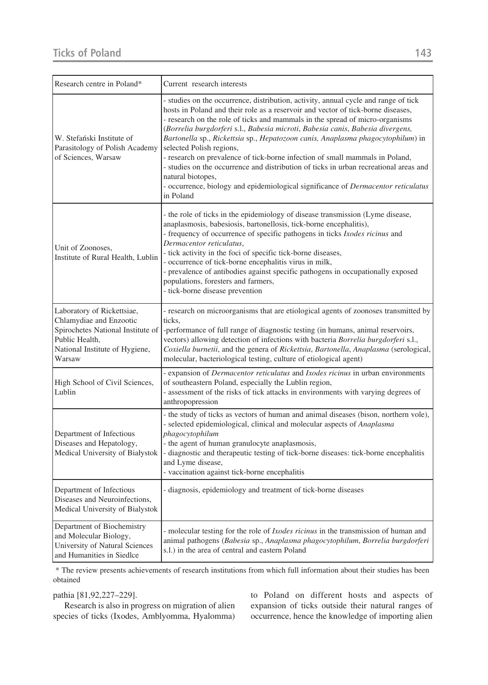| Research centre in Poland*                                                                                                                               | Current research interests                                                                                                                                                                                                                                                                                                                                                                                                                                                                                                                                                                                                                                                                                                                               |
|----------------------------------------------------------------------------------------------------------------------------------------------------------|----------------------------------------------------------------------------------------------------------------------------------------------------------------------------------------------------------------------------------------------------------------------------------------------------------------------------------------------------------------------------------------------------------------------------------------------------------------------------------------------------------------------------------------------------------------------------------------------------------------------------------------------------------------------------------------------------------------------------------------------------------|
| W. Stefański Institute of<br>Parasitology of Polish Academy<br>of Sciences, Warsaw                                                                       | - studies on the occurrence, distribution, activity, annual cycle and range of tick<br>hosts in Poland and their role as a reservoir and vector of tick-borne diseases,<br>- research on the role of ticks and mammals in the spread of micro-organisms<br>(Borrelia burgdorferi s.l., Babesia microti, Babesia canis, Babesia divergens,<br>Bartonella sp., Rickettsia sp., Hepatozoon canis, Anaplasma phagocytophilum) in<br>selected Polish regions,<br>- research on prevalence of tick-borne infection of small mammals in Poland,<br>- studies on the occurrence and distribution of ticks in urban recreational areas and<br>natural biotopes,<br>- occurrence, biology and epidemiological significance of Dermacentor reticulatus<br>in Poland |
| Unit of Zoonoses,<br>Institute of Rural Health, Lublin                                                                                                   | - the role of ticks in the epidemiology of disease transmission (Lyme disease,<br>anaplasmosis, babesiosis, bartonellosis, tick-borne encephalitis),<br>- frequency of occurrence of specific pathogens in ticks Ixodes ricinus and<br>Dermacentor reticulatus,<br>- tick activity in the foci of specific tick-borne diseases,<br>- occurrence of tick-borne encephalitis virus in milk,<br>- prevalence of antibodies against specific pathogens in occupationally exposed<br>populations, foresters and farmers,<br>- tick-borne disease prevention                                                                                                                                                                                                   |
| Laboratory of Rickettsiae,<br>Chlamydiae and Enzootic<br>Spirochetes National Institute of<br>Public Health,<br>National Institute of Hygiene,<br>Warsaw | - research on microorganisms that are etiological agents of zoonoses transmitted by<br>ticks,<br>-performance of full range of diagnostic testing (in humans, animal reservoirs,<br>vectors) allowing detection of infections with bacteria Borrelia burgdorferi s.l.,<br>Coxiella burnetii, and the genera of Rickettsia, Bartonella, Anaplasma (serological,<br>molecular, bacteriological testing, culture of etiological agent)                                                                                                                                                                                                                                                                                                                      |
| High School of Civil Sciences,<br>Lublin                                                                                                                 | - expansion of <i>Dermacentor reticulatus</i> and <i>Ixodes ricinus</i> in urban environments<br>of southeastern Poland, especially the Lublin region,<br>- assessment of the risks of tick attacks in environments with varying degrees of<br>anthropopression                                                                                                                                                                                                                                                                                                                                                                                                                                                                                          |
| Department of Infectious<br>Diseases and Hepatology,<br>Medical University of Białystok                                                                  | - the study of ticks as vectors of human and animal diseases (bison, northern vole),<br>- selected epidemiological, clinical and molecular aspects of Anaplasma<br>phagocytophilum<br>- the agent of human granulocyte anaplasmosis,<br>- diagnostic and therapeutic testing of tick-borne diseases: tick-borne encephalitis<br>and Lyme disease,<br>- vaccination against tick-borne encephalitis                                                                                                                                                                                                                                                                                                                                                       |
| Department of Infectious<br>Diseases and Neuroinfections,<br>Medical University of Bialystok                                                             | - diagnosis, epidemiology and treatment of tick-borne diseases                                                                                                                                                                                                                                                                                                                                                                                                                                                                                                                                                                                                                                                                                           |
| Department of Biochemistry<br>and Molecular Biology,<br>University of Natural Sciences<br>and Humanities in Siedlce                                      | - molecular testing for the role of Ixodes ricinus in the transmission of human and<br>animal pathogens (Babesia sp., Anaplasma phagocytophilum, Borrelia burgdorferi<br>s.l.) in the area of central and eastern Poland                                                                                                                                                                                                                                                                                                                                                                                                                                                                                                                                 |

\* The review presents achievements of research institutions from which full information about their studies has been obtained

#### pathia [81,92,227–229].

Research is also in progress on migration of alien species of ticks (Ixodes, Amblyomma, Hyalomma) to Poland on different hosts and aspects of expansion of ticks outside their natural ranges of occurrence, hence the knowledge of importing alien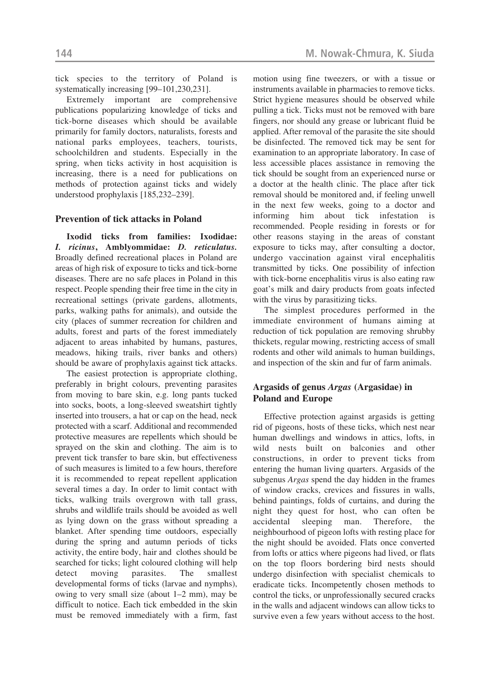tick species to the territory of Poland is systematically increasing [99–101,230,231].

Extremely important are comprehensive publications popularizing knowledge of ticks and tick-borne diseases which should be available primarily for family doctors, naturalists, forests and national parks employees, teachers, tourists, schoolchildren and students. Especially in the spring, when ticks activity in host acquisition is increasing, there is a need for publications on methods of protection against ticks and widely understood prophylaxis [185,232–239].

#### **Prevention of tick attacks in Poland**

**Ixodid ticks from families: Ixodidae:** *I. ricinus***, Amblyommidae:** *D. reticulatus.* Broadly defined recreational places in Poland are areas of high risk of exposure to ticks and tick-borne diseases. There are no safe places in Poland in this respect. People spending their free time in the city in recreational settings (private gardens, allotments, parks, walking paths for animals), and outside the city (places of summer recreation for children and adults, forest and parts of the forest immediately adjacent to areas inhabited by humans, pastures, meadows, hiking trails, river banks and others) should be aware of prophylaxis against tick attacks.

The easiest protection is appropriate clothing, preferably in bright colours, preventing parasites from moving to bare skin, e.g. long pants tucked into socks, boots, a long-sleeved sweatshirt tightly inserted into trousers, a hat or cap on the head, neck protected with a scarf. Additional and recommended protective measures are repellents which should be sprayed on the skin and clothing. The aim is to prevent tick transfer to bare skin, but effectiveness of such measures is limited to a few hours, therefore it is recommended to repeat repellent application several times a day. In order to limit contact with ticks, walking trails overgrown with tall grass, shrubs and wildlife trails should be avoided as well as lying down on the grass without spreading a blanket. After spending time outdoors, especially during the spring and autumn periods of ticks activity, the entire body, hair and clothes should be searched for ticks; light coloured clothing will help detect moving parasites. The smallest developmental forms of ticks (larvae and nymphs), owing to very small size (about 1–2 mm), may be difficult to notice. Each tick embedded in the skin must be removed immediately with a firm, fast

motion using fine tweezers, or with a tissue or instruments available in pharmacies to remove ticks. Strict hygiene measures should be observed while pulling a tick. Ticks must not be removed with bare fingers, nor should any grease or lubricant fluid be applied. After removal of the parasite the site should be disinfected. The removed tick may be sent for examination to an appropriate laboratory. In case of less accessible places assistance in removing the tick should be sought from an experienced nurse or a doctor at the health clinic. The place after tick removal should be monitored and, if feeling unwell in the next few weeks, going to a doctor and informing him about tick infestation is recommended. People residing in forests or for other reasons staying in the areas of constant exposure to ticks may, after consulting a doctor, undergo vaccination against viral encephalitis transmitted by ticks. One possibility of infection with tick-borne encephalitis virus is also eating raw goat's milk and dairy products from goats infected with the virus by parasitizing ticks.

The simplest procedures performed in the immediate environment of humans aiming at reduction of tick population are removing shrubby thickets, regular mowing, restricting access of small rodents and other wild animals to human buildings, and inspection of the skin and fur of farm animals.

# **Argasids of genus** *Argas* **(Argasidae) in Poland and Europe**

Effective protection against argasids is getting rid of pigeons, hosts of these ticks, which nest near human dwellings and windows in attics, lofts, in wild nests built on balconies and other constructions, in order to prevent ticks from entering the human living quarters. Argasids of the subgenus *Argas* spend the day hidden in the frames of window cracks, crevices and fissures in walls, behind paintings, folds of curtains, and during the night they quest for host, who can often be accidental sleeping man. Therefore, the neighbourhood of pigeon lofts with resting place for the night should be avoided. Flats once converted from lofts or attics where pigeons had lived, or flats on the top floors bordering bird nests should undergo disinfection with specialist chemicals to eradicate ticks. Incompetently chosen methods to control the ticks, or unprofessionally secured cracks in the walls and adjacent windows can allow ticks to survive even a few years without access to the host.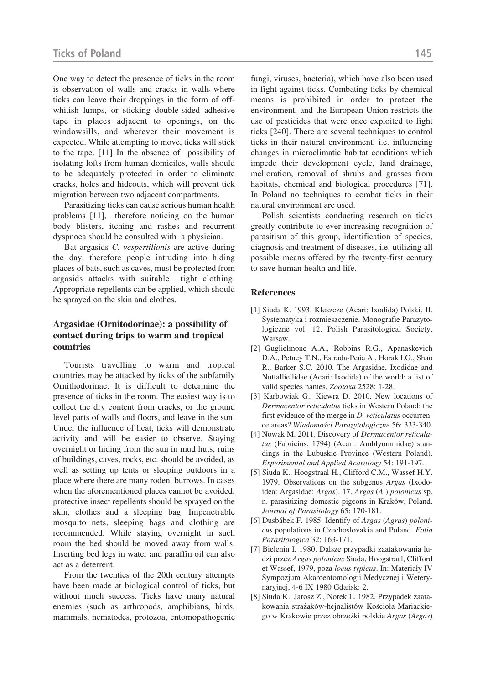One way to detect the presence of ticks in the room is observation of walls and cracks in walls where ticks can leave their droppings in the form of offwhitish lumps, or sticking double-sided adhesive tape in places adjacent to openings, on the windowsills, and wherever their movement is expected. While attempting to move, ticks will stick to the tape. [11] In the absence of possibility of isolating lofts from human domiciles, walls should to be adequately protected in order to eliminate cracks, holes and hideouts, which will prevent tick migration between two adjacent compartments.

Parasitizing ticks can cause serious human health problems [11], therefore noticing on the human body blisters, itching and rashes and recurrent dyspnoea should be consulted with a physician.

Bat argasids *C. vespertilionis* are active during the day, therefore people intruding into hiding places of bats, such as caves, must be protected from argasids attacks with suitable tight clothing. Appropriate repellents can be applied, which should be sprayed on the skin and clothes.

# **Argasidae (Ornitodorinae): a possibility of contact during trips to warm and tropical countries**

Tourists travelling to warm and tropical countries may be attacked by ticks of the subfamily Ornithodorinae. It is difficult to determine the presence of ticks in the room. The easiest way is to collect the dry content from cracks, or the ground level parts of walls and floors, and leave in the sun. Under the influence of heat, ticks will demonstrate activity and will be easier to observe. Staying overnight or hiding from the sun in mud huts, ruins of buildings, caves, rocks, etc. should be avoided, as well as setting up tents or sleeping outdoors in a place where there are many rodent burrows. In cases when the aforementioned places cannot be avoided, protective insect repellents should be sprayed on the skin, clothes and a sleeping bag. Impenetrable mosquito nets, sleeping bags and clothing are recommended. While staying overnight in such room the bed should be moved away from walls. Inserting bed legs in water and paraffin oil can also act as a deterrent.

From the twenties of the 20th century attempts have been made at biological control of ticks, but without much success. Ticks have many natural enemies (such as arthropods, amphibians, birds, mammals, nematodes, protozoa, entomopathogenic fungi, viruses, bacteria), which have also been used in fight against ticks. Combating ticks by chemical means is prohibited in order to protect the environment, and the European Union restricts the use of pesticides that were once exploited to fight ticks [240]. There are several techniques to control ticks in their natural environment, i.e. influencing changes in microclimatic habitat conditions which impede their development cycle, land drainage, melioration, removal of shrubs and grasses from habitats, chemical and biological procedures [71]. In Poland no techniques to combat ticks in their natural environment are used.

Polish scientists conducting research on ticks greatly contribute to ever-increasing recognition of parasitism of this group, identification of species, diagnosis and treatment of diseases, i.e. utilizing all possible means offered by the twenty-first century to save human health and life.

#### **References**

- [1] Siuda K. 1993. Kleszcze (Acari: Ixodida) Polski. II. Systematyka i rozmieszczenie. Monografie Parazytologiczne vol. 12. Polish Parasitological Society, Warsaw.
- [2] Guglielmone A.A., Robbins R.G., Apanaskevich D.A., Petney T.N., Estrada-Peńa A., Horak I.G., Shao R., Barker S.C. 2010. The Argasidae, Ixodidae and Nuttalliellidae (Acari: Ixodida) of the world: a list of valid species names. *Zootaxa* 2528: 1-28.
- [3] Karbowiak G., Kiewra D. 2010. New locations of *Dermacentor reticulatus* ticks in Western Poland: the first evidence of the merge in *D. reticulatus* occurrence areas? *Wiadomości Parazytologiczne* 56: 333-340.
- [4] Nowak M. 2011. Discovery of *Dermacentor reticulatus* (Fabricius, 1794) (Acari: Amblyommidae) standings in the Lubuskie Province (Western Poland). *Experimental and Applied Acarology* 54: 191-197.
- [5] Siuda K., Hoogstraal H., Clifford C.M., Wassef H.Y. 1979. Observations on the subgenus *Argas* (Ixodoidea: Argasidae: *Argas*). 17. *Argas* (*A.*) *polonicus* sp. n. parasitizing domestic pigeons in Kraków, Poland. *Journal of Parasitology* 65: 170-181.
- [6] Dusbábek F. 1985. Identify of *Argas* (*Agras*) *polonicus* populations in Czechoslovakia and Poland. *Folia Parasitologica* 32: 163-171.
- [7] Bielenin I. 1980. Dalsze przypadki zaatakowania ludzi przez *Argas polonicus* Siuda, Hoogstraal, Clifford et Wassef, 1979, poza *locus typicus*. In: Materiały IV Sympozjum Akaroentomologii Medycznej i Weterynaryjnej, 4-6 IX 1980 Gdańsk: 2.
- [8] Siuda K., Jarosz Z., Norek L. 1982. Przypadek zaatakowania strażaków-hejnalistów Kościoła Mariackiego w Krakowie przez obrzeżki polskie *Argas* (*Argas*)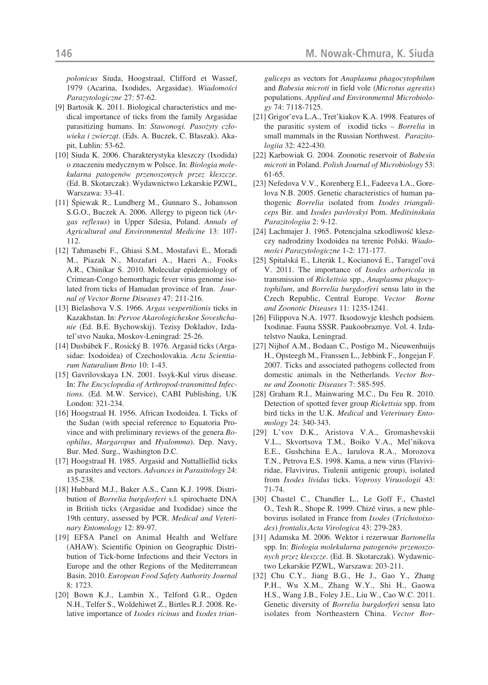*polonicus* Siuda, Hoogstraal, Clifford et Wassef, 1979 (Acarina, Ixodides, Argasidae). *Wiadomości Parazytologiczne* 27: 57-62.

- [9] Bartosik K. 2011. Biological characteristics and medical importance of ticks from the family Argasidae parasitizing humans. In: *Stawonogi. Pasożyty człowieka i zwierząt*. (Eds. A. Buczek, C. Błaszak). Akapit, Lublin: 53-62.
- [10] Siuda K. 2006. Charakterystyka kleszczy (Ixodida) o znaczeniu medycznym w Polsce. In: *Biologia molekularna patogenów przenoszonych przez kleszcze*. (Ed. B. Skotarczak). Wydawnictwo Lekarskie PZWL, Warszawa: 33-41.
- [11] Śpiewak R., Lundberg M., Gunnaro S., Johansson S.G.O., Buczek A. 2006. Allergy to pigeon tick (*Argas reflexus*) in Upper Silesia, Poland. *Annals of Agricultural and Environmental Medicine* 13: 107- 112.
- [12] Tahmasebi F., Ghiasi S.M., Mostafavi E., Moradi M., Piazak N., Mozafari A., Haeri A., Fooks A.R., Chinikar S. 2010. Molecular epidemiology of Crimean-Congo hemorrhagic fever virus genome isolated from ticks of Hamadan province of Iran. *Journal of Vector Borne Diseases* 47: 211-216.
- [13] Bielashova V.S. 1966. *Argas vespertilionis* ticks in Kazakhstan. In: *Pervoe Akarologicheskoe Soveshchanie* (Ed. B.E. Bychowskij). Tezisy Dokladov, Izdatel'stvo Nauka, Moskov-Leningrad: 25-26.
- [14] Dusbábek F., Rosický B. 1976. Argasid ticks (Argasidae: Ixodoidea) of Czechoslovakia. *Acta Scientiarum Naturalium Brno* 10: 1-43.
- [15] Gavrilovskaya I.N. 2001. Issyk-Kul virus disease. In: *The Encyclopedia of Arthropod-transmitted Infections.* (Ed. M.W. Service), CABI Publishing, UK London: 321-234.
- [16] Hoogstraal H. 1956. African Ixodoidea. I. Ticks of the Sudan (with special reference to Equatoria Province and with preliminary reviews of the genera *Boophilus*, *Margaropus* and *Hyalomma*). Dep. Navy, Bur. Med. Surg., Washington D.C.
- [17] Hoogstraal H. 1985. Argasid and Nuttalliellid ticks as parasites and vectors. *Advances in Parasitology* 24: 135-238.
- [18] Hubbard M.J., Baker A.S., Cann K.J. 1998. Distribution of *Borrelia burgdorferi* s.l. spirochaete DNA in British ticks (Argasidae and Ixodidae) since the 19th century, assessed by PCR. *Medical and Veterinary Entomology* 12: 89-97.
- [19] EFSA Panel on Animal Health and Welfare (AHAW). Scientific Opinion on Geographic Distribution of Tick-borne Infections and their Vectors in Europe and the other Regions of the Mediterranean Basin. 2010. *European Food Safety Authority Journal* 8: 1723.
- [20] Bown K.J., Lambin X., Telford G.R., Ogden N.H., Telfer S., Woldehiwet Z., Birtles R.J. 2008. Relative importance of *Ixodes ricinus* and *Ixodes trian-*

*guliceps* as vectors for *Anaplasma phagocytophilum* and *Babesia microti* in field vole (*Microtus agrestis*) populations. *Applied and Environmental Microbiology* 74: 7118-7125.

- [21] Grigor'eva L.A., Tret'kiakov K.A. 1998. Features of the parasitic system of ixodid ticks – *Borrelia* in small mammals in the Russian Northwest. *Parazitologiia* 32: 422-430.
- [22] Karbowiak G. 2004. Zoonotic reservoir of *Babesia microti* in Poland. *Polish Journal of Microbiology* 53: 61-65.
- [23] Nefedova V.V., Korenberg E.I., Fadeeva I.A., Gorelova N.B. 2005. Genetic characteristics of human pathogenic *Borrelia* isolated from *Ixodes trianguliceps* Bir. and *Ixodes pavlovskyi* Pom. *Meditsinskaia Parazitologiia* 2: 9-12.
- [24] Lachmajer J. 1965. Potencjalna szkodliwość kleszczy nadrodziny Ixodoidea na terenie Polski. *Wiadomości Parazytologiczne* 1-2: 171-177.
- [25] Spitalská E., Literák I., Kocianová E., Taragel'ová V. 2011. The importance of *Ixodes arboricola* in transmission of *Rickettsia* spp., *Anaplasma phagocytophilum*, and *Borrelia burgdorferi* sensu lato in the Czech Republic, Central Europe. *Vector Borne and Zoonotic Diseases* 11: 1235-1241.
- [26] Filippova N.A. 1977. Iksodowyje kleshch podsiem. Ixodinae. Fauna SSSR. Paukoobraznye. Vol. 4. Izdatelstvo Nauka, Leningrad.
- [27] Nijhof A.M., Bodaan C., Postigo M., Nieuwenhuijs H., Opsteegh M., Franssen L., Jebbink F., Jongejan F. 2007. Ticks and associated pathogens collected from domestic animals in the Netherlands. *Vector Borne and Zoonotic Diseases* 7: 585-595.
- [28] Graham R.I., Mainwaring M.C., Du Feu R. 2010. Detection of spotted fever group *Rickettsia* spp. from bird ticks in the U.K. *Medical* and *Veterinary Entomology* 24: 340-343.
- [29] L'vov D.K., Aristova V.A., Gromashevskii V.L., Skvortsova T.M., Boiko V.A., Mel'nikova E.E., Gushchina E.A., Iarulova R.A., Morozova T.N., Petrova E.S. 1998. Kama, a new virus (Flaviviridae, Flavivirus, Tiulenii antigenic group), isolated from *Ixodes lividus* ticks. *Voprosy Virusologii* 43: 71-74.
- [30] Chastel C., Chandler L., Le Goff F., Chastel O., Tesh R., Shope R. 1999. Chizé virus, a new phlebovirus isolated in France from *Ixodes* (*Trichotoixodes*) *frontalis*.*Acta Virologica* 43: 279-283.
- [31] Adamska M. 2006. Wektor i rezerwuar *Bartonella* spp. In: *Biologia molekularna patogenów przenoszonych przez kleszcze*. (Ed. B. Skotarczak). Wydawnictwo Lekarskie PZWL, Warszawa: 203-211.
- [32] Chu C.Y., Jiang B.G., He J., Gao Y., Zhang P.H., Wu X.M., Zhang W.Y., Shi H., Gaowa H.S., Wang J.B., Foley J.E., Liu W., Cao W.C. 2011. Genetic diversity of *Borrelia burgdorferi* sensu lato isolates from Northeastern China. *Vector Bor-*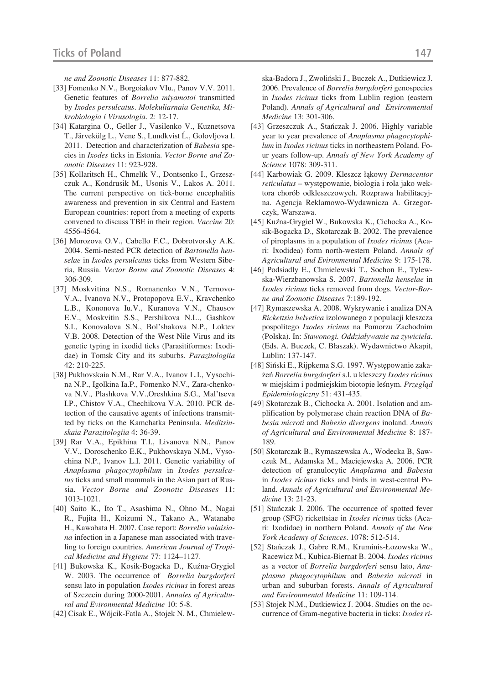*ne and Zoonotic Diseases* 11: 877-882.

- [33] Fomenko N.V., Borgoiakov VIu., Panov V.V. 2011. Genetic features of *Borrelia miyamotoi* transmitted by *Ixodes persulcatus*. *Molekuliarnaia Genetika, Mikrobiologia i Virusologia*. 2: 12-17.
- [34] Katargina O., Geller J., Vasilenko V., Kuznetsova T., Järvekülg L., Vene S., Lundkvist Ĺ., Golovljova I. 2011. Detection and characterization of *Babesia* species in *Ixodes* ticks in Estonia. *Vector Borne and Zoonotic Diseases* 11: 923-928.
- [35] Kollaritsch H., Chmelík V., Dontsenko I., Grzeszczuk A., Kondrusik M., Usonis V., Lakos A. 2011. The current perspective on tick-borne encephalitis awareness and prevention in six Central and Eastern European countries: report from a meeting of experts convened to discuss TBE in their region. *Vaccine* 20: 4556-4564.
- [36] Morozova O.V., Cabello F.C., Dobrotvorsky A.K. 2004. Semi-nested PCR detection of *Bartonella henselae* in *Ixodes persulcatus* ticks from Western Siberia, Russia. *Vector Borne and Zoonotic Diseases* 4: 306-309.
- [37] Moskvitina N.S., Romanenko V.N., Ternovo-V.A., Ivanova N.V., Protopopova E.V., Kravchenko L.B., Kononova Iu.V., Kuranova V.N., Chausov E.V., Moskvitin S.S., Pershikova N.L., Gashkov S.I., Konovalova S.N., Bol'shakova N.P., Loktev V.B. 2008. Detection of the West Nile Virus and its genetic typing in ixodid ticks (Parasitiformes: Ixodidae) in Tomsk City and its suburbs. *Parazitologiia* 42: 210-225.
- [38] Pukhovskaia N.M., Rar V.A., Ivanov L.I., Vysochina N.P., Igolkina Ia.P., Fomenko N.V., Zara-chenkova N.V., Plashkova V.V.,Oreshkina S.G., Mal'tseva I.P., Chistov V.A., Chechikova V.A. 2010. PCR detection of the causative agents of infections transmitted by ticks on the Kamchatka Peninsula. *Meditsinskaia Parazitologiia* 4: 36-39.
- [39] Rar V.A., Epikhina T.I., Livanova N.N., Panov V.V., Doroschenko E.K., Pukhovskaya N.M., Vysochina N.P., Ivanov L.I. 2011. Genetic variability of *Anaplasma phagocytophilum* in *Ixodes persulcatus* ticks and small mammals in the Asian part of Russia. *Vector Borne and Zoonotic Diseases* 11: 1013-1021.
- [40] Saito K., Ito T., Asashima N., Ohno M., Nagai R., Fujita H., Koizumi N., Takano A., Watanabe H., Kawabata H. 2007. Case report: *Borrelia valaisiana* infection in a Japanese man associated with traveling to foreign countries. *American Journal of Tropical Medicine and Hygiene* 77: 1124–1127.
- [41] Bukowska K., Kosik-Bogacka D., Kuźna-Grygiel W. 2003. The occurrence of *Borrelia burgdorferi* sensu lato in population *Ixodes ricinus* in forest areas of Szczecin during 2000-2001. *Annales of Agricultural and Evironmental Medicine* 10: 5-8.
- [42] Cisak E., Wójcik-Fatla A., Stojek N. M., Chmielew-

ska-Badora J., Zwoliński J., Buczek A., Dutkiewicz J. 2006. Prevalence of *Borrelia burgdorferi* genospecies in *Ixodes ricinus* ticks from Lublin region (eastern Poland). *Annals of Agricultural and Environmental Medicine* 13: 301-306.

- [43] Grzeszczuk A., Stańczak J. 2006. Highly variable year to year prevalence of *Anaplasma phagocytophilum* in *Ixodes ricinus* ticks in northeastern Poland. Four years follow-up. *Annals of New York Academy of Science* 1078: 309-311.
- [44] Karbowiak G. 2009. Kleszcz łąkowy *Dermacentor reticulatus* – występowanie, biologia i rola jako wektora chorób odkleszczowych. Rozprawa habilitacyjna. Agencja Reklamowo-Wydawnicza A. Grzegorczyk, Warszawa.
- [45] Kuźna-Grygiel W., Bukowska K., Cichocka A., Kosik-Bogacka D., Skotarczak B. 2002. The prevalence of piroplasms in a population of *Ixodes ricinus* (Acari: Ixodidea) form north-western Poland. *Annals of Agricultural and Evironmental Medicine* 9: 175-178.
- [46] Podsiadly E., Chmielewski T., Sochon E., Tylewska-Wierzbanowska S. 2007. *Bartonella henselae* in *Ixodes ricinus* ticks removed from dogs. *Vector*-*Borne and Zoonotic Diseases* 7:189-192.
- [47] Rymaszewska A. 2008. Wykrywanie i analiza DNA *Rickettsia helvetica* izolowanego z populacji kleszcza pospolitego *Ixodes ricinus* na Pomorzu Zachodnim (Polska). In: *Stawonogi. Oddziaływanie na żywiciela*. (Eds. A. Buczek, C. Błaszak). Wydawnictwo Akapit, Lublin: 137-147.
- [48] Siński E., Rijpkema S.G. 1997. Występowanie zakażeń *Borrelia burgdorferi* s.l. u kleszczy *Ixodes ricinus* w miejskim i podmiejskim biotopie leśnym. *Przegląd Epidemiologiczny* 51: 431-435.
- [49] Skotarczak B., Cichocka A. 2001. Isolation and amplification by polymerase chain reaction DNA of *Babesia microti* and *Babesia divergens* inoland. *Annals of Agricultural and Environmental Medicine* 8: 187- 189.
- [50] Skotarczak B., Rymaszewska A., Wodecka B, Sawczuk M., Adamska M., Maciejewska A. 2006. PCR detection of granulocytic *Anaplasma* and *Babesia* in *Ixodes ricinus* ticks and birds in west-central Poland. *Annals of Agricultural and Environmental Medicine* 13: 21-23.
- [51] Stańczak J. 2006. The occurrence of spotted fever group (SFG) rickettsiae in *Ixodes ricinus* ticks (Acari: Ixodidae) in northern Poland. *Annals of the New York Academy of Sciences*. 1078: 512-514.
- [52] Stańczak J., Gabre R.M., Kruminis-Łozowska W., Racewicz M., Kubica-Biernat B. 2004. *Ixodes ricinus* as a vector of *Borrelia burgdorferi* sensu lato, *Anaplasma phagocytophilum* and *Babesia microti* in urban and suburban forests. *Annals of Agricultural and Environmental Medicine* 11: 109-114.
- [53] Stojek N.M., Dutkiewicz J. 2004. Studies on the occurrence of Gram-negative bacteria in ticks: *Ixodes ri-*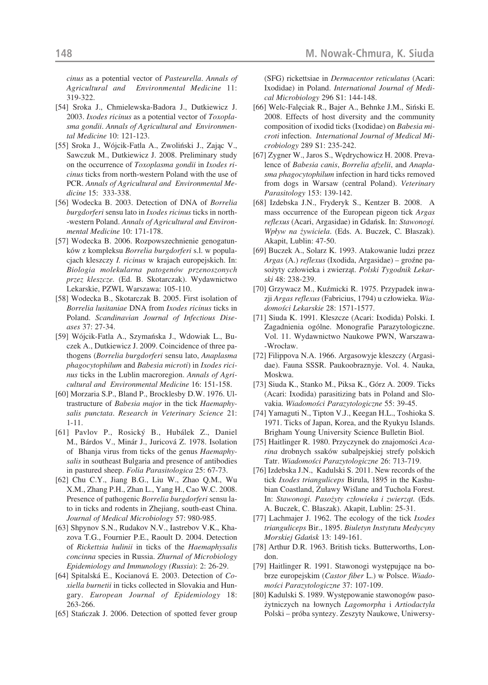*cinus* as a potential vector of *Pasteurella*. *Annals of Agricultural and Environmental Medicine* 11: 319-322.

- [54] Sroka J., Chmielewska-Badora J., Dutkiewicz J. 2003. *Ixodes ricinus* as a potential vector of *Toxoplasma gondii*. *Annals of Agricultural and Environmental Medicine* 10: 121-123.
- [55] Sroka J., Wójcik-Fatla A., Zwoliński J., Zając V., Sawczuk M., Dutkiewicz J. 2008. Preliminary study on the occurrence of *Toxoplasma gondii* in *Ixodes ricinus* ticks from north-western Poland with the use of PCR. *Annals of Agricultural and Environmental Medicine* 15: 333-338.
- [56] Wodecka B. 2003. Detection of DNA of *Borrelia burgdorferi* sensu lato in *Ixodes ricinus* ticks in north- -western Poland. *Annals of Agricultural and Environmental Medicine* 10: 171-178.
- [57] Wodecka B. 2006. Rozpowszechnienie genogatunków z kompleksu *Borrelia burgdorferi* s.l. w populacjach kleszczy *I. ricinus* w krajach europejskich. In: *Biologia molekularna patogenów przenoszonych przez kleszcze.* (Ed. B. Skotarczak). Wydawnictwo Lekarskie, PZWL Warszawa: 105-110.
- [58] Wodecka B., Skotarczak B. 2005. First isolation of *Borrelia lusitaniae* DNA from *Ixodes ricinus* ticks in Poland. *Scandinavian Journal of Infectious Diseases* 37: 27-34.
- [59] Wójcik-Fatla A., Szymańska J., Wdowiak L., Buczek A., Dutkiewicz J. 2009. Coincidence of three pathogens (*Borrelia burgdorferi* sensu lato, *Anaplasma phagocytophilum* and *Babesia microti*) in *Ixodes ricinus* ticks in the Lublin macroregion. *Annals of Agricultural and Environmental Medicine* 16: 151-158.
- [60] Morzaria S.P., Bland P., Brocklesby D.W. 1976. Ultrastructure of *Babesia major* in the tick *Haemaphysalis punctata*. *Research in Veterinary Science* 21: 1-11.
- [61] Pavlov P., Rosický B., Hubálek Z., Daniel M., Bárdos V., Minár J., Juricová Z. 1978. Isolation of Bhanja virus from ticks of the genus *Haemaphysalis* in southeast Bulgaria and presence of antibodies in pastured sheep. *Folia Parasitologica* 25: 67-73.
- [62] Chu C.Y., Jiang B.G., Liu W., Zhao Q.M., Wu X.M., Zhang P.H., Zhan L., Yang H., Cao W.C. 2008. Presence of pathogenic *Borrelia burgdorferi* sensu lato in ticks and rodents in Zhejiang, south-east China. *Journal of Medical Microbiology* 57: 980-985.
- [63] Shpynov S.N., Rudakov N.V., Iastrebov V.K., Khazova T.G., Fournier P.E., Raoult D. 2004. Detection of *Rickettsia hulinii* in ticks of the *Haemaphysalis concinna* species in Russia. *Zhurnal of Microbiology Epidemiology and Immunology (Russia*): 2: 26-29.
- [64] Spitalská E., Kocianová E. 2003. Detection of *Coxiella burnetii* in ticks collected in Slovakia and Hungary. *European Journal of Epidemiology* 18: 263-266.
- [65] Stańczak J. 2006. Detection of spotted fever group

(SFG) rickettsiae in *Dermacentor reticulatus* (Acari: Ixodidae) in Poland. *International Journal of Medical Microbiology* 296 S1: 144-148.

- [66] Welc-Falęciak R., Bajer A., Behnke J.M., Siński E. 2008. Effects of host diversity and the community composition of ixodid ticks (Ixodidae) on *Babesia microti* infection. *International Journal of Medical Microbiology* 289 S1: 235-242.
- [67] Zygner W., Jaros S., Wędrychowicz H. 2008. Prevalence of *Babesia canis*, *Borrelia afzelii*, and *Anaplasma phagocytophilum* infection in hard ticks removed from dogs in Warsaw (central Poland). *Veterinary Parasitology* 153: 139-142.
- [68] Izdebska J.N., Fryderyk S., Kentzer B. 2008. A mass occurrence of the European pigeon tick *Argas reflexus* (Acari, Argasidae) in Gdańsk. In: *Stawonogi. Wpływ na żywiciela*. (Eds. A. Buczek, C. Błaszak). Akapit, Lublin: 47-50.
- [69] Buczek A., Solarz K. 1993. Atakowanie ludzi przez *Argas* (A.) *reflexus* (Ixodida, Argasidae) – groźne pasożyty człowieka i zwierząt. *Polski Tygodnik Lekarski* 48: 238-239.
- [70] Grzywacz M., Kuźmicki R. 1975. Przypadek inwazji *Argas reflexus* (Fabricius, 1794) u człowieka. *Wiadomości Lekarskie* 28: 1571-1577.
- [71] Siuda K. 1991. Kleszcze (Acari: Ixodida) Polski. I. Zagadnienia ogólne. Monografie Parazytologiczne. Vol. 11. Wydawnictwo Naukowe PWN, Warszawa- -Wrocław.
- [72] Filippova N.A. 1966. Argasowyje kleszczy (Argasidae). Fauna SSSR. Paukoobraznyje. Vol. 4. Nauka, Moskwa.
- [73] Siuda K., Stanko M., Piksa K., Górz A. 2009. Ticks (Acari: Ixodida) parasitizing bats in Poland and Slovakia. *Wiadomości Parazytologiczne* 55: 39-45.
- [74] Yamaguti N., Tipton V.J., Keegan H.L., Toshioka S. 1971. Ticks of Japan, Korea, and the Ryukyu Islands. Brigham Young University Science Bulletin Biol.
- [75] Haitlinger R. 1980. Przyczynek do znajomości *Acarina* drobnych ssaków subalpejskiej strefy polskich Tatr. *Wiadomości Parazytologiczne* 26: 713-719.
- [76] Izdebska J.N., Kadulski S. 2011. New records of the tick *Ixodes trianguliceps* Birula, 1895 in the Kashubian Coastland, Żuławy Wiślane and Tuchola Forest. In: *Stawonogi. Pasożyty człowieka i zwierząt.* (Eds. A. Buczek, C. Błaszak). Akapit, Lublin: 25-31.
- [77] Lachmajer J. 1962. The ecology of the tick *Ixodes trianguliceps* Bir., 1895. *Biuletyn Instytutu Medycyny Morskiej Gdańsk* 13: 149-161.
- [78] Arthur D.R. 1963. British ticks. Butterworths, London.
- [79] Haitlinger R. 1991. Stawonogi występujące na bobrze europejskim (*Castor fiber* L.) w Polsce. *Wiadomości Parazytologiczne* 37: 107-109.
- [80] Kadulski S. 1989. Występowanie stawonogów pasożytniczych na łownych *Lagomorpha* i *Artiodactyla* Polski – próba syntezy. Zeszyty Naukowe, Uniwersy-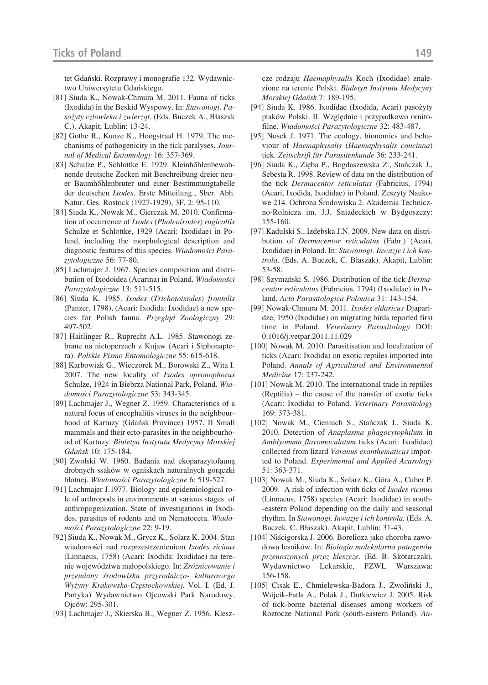tet Gdański*.* Rozprawy i monografie 132. Wydawnictwo Uniwersytetu Gdańskiego.

- [81] Siuda K., Nowak-Chmura M. 2011. Fauna of ticks (Ixodida) in the Beskid Wyspowy. In: *Stawonogi. Pasożyty człowieka i zwierząt.* (Eds. Buczek A., Błaszak C.). Akapit, Lublin: 13-24.
- [82] Gothe R., Kunze K., Hoogstraal H. 1979. The mechanisms of pathogenicity in the tick paralyses. *Journal of Medical Entomology* 16: 357-369.
- [83] Schulze P., Schlottke E. 1929. Kleinhőhlenbewohnende deutsche Zecken mit Beschreibung dreier neuer Baumhőhlenbruter und einer Bestimmungtabelle der deutschen *Ixodes*. Erste Mitteilung., Sber. Abh. Natur. Ges. Rostock (1927-1929), 3F, 2: 95-110.
- [84] Siuda K., Nowak M., Gierczak M. 2010. Confirmation of occurrence of *Ixodes* (*Pholeoixodes*) *rugicollis* Schulze et Schlottke, 1929 (Acari: Ixodidae) in Poland, including the morphological description and diagnostic features of this species. *Wiadomości Parazytologiczne* 56: 77-80.
- [85] Lachmajer J. 1967. Species composition and distribution of Ixodoidea (Acarina) in Poland. *Wiadomości Parazytologiczne* 13: 511-515.
- [86] Siuda K. 1985. *Ixodes* (*Trichotoixodes*) *frontalis* (Panzer, 1798), (Acari: Ixodida: Ixodidae) a new species for Polish fauna. *Przegląd Zoologiczny* 29: 497-502.
- [87] Haitlinger R., Ruprecht A.L. 1985. Stawonogi zebrane na nietoperzach z Kujaw (Acari i Siphonaptera). *Polskie Pismo Entomologiczne* 55: 615-618.
- [88] Karbowiak G., Wieczorek M., Borowski Z., Wita I. 2007. The new locality of *Ixodes apronophorus* Schulze, 1924 in Biebrza National Park, Poland. *Wiadomości Parazytologiczne* 53: 343-345.
- [89] Lachmajer J., Wegner Z. 1959. Characteristics of a natural focus of encephalitis viruses in the neighbourhood of Kartuzy (Gdańsk Province) 1957. II Small mammals and their ecto-parasites in the neighbourhood of Kartuzy. *Biuletyn Instytutu Medycyny Morskiej Gdańsk* 10: 175-184.
- [90] Zwolski W. 1960. Badania nad ekoparazytofauną drobnych ssaków w ogniskach naturalnych gorączki błotnej. *Wiadomości Parazytologiczne* 6: 519-527.
- [91] Lachmajer J.1977. Biology and epidemiological role of arthropods in environments at various stages of anthropogenization. State of investigations in Ixodides, parasites of rodents and on Nematocera. *Wiadomości Parazytologiczne* 22: 9-19.
- [92] Siuda K., Nowak M., Grycz K., Solarz K. 2004. Stan wiadomości nad rozprzestrzenieniem *Ixodes ricinus* (Linnaeus, 1758) (Acari: Ixodida: Ixodidae) na terenie województwa małopolskiego. In: *Zróżnicowanie i przemiany środowiska przyrodniczo- kulturowego Wyżyny Krakowsko-Częstochowskiej.* Vol. I. (Ed. J. Partyka) Wydawnictwo Ojcowski Park Narodowy, Ojców: 295-301.
- [93] Lachmajer J., Skierska B., Wegner Z. 1956. Klesz-

cze rodzaju *Haemaphysalis* Koch (Ixodidae) znalezione na terenie Polski. *Biuletyn Instytutu Medycyny Morskiej Gdańsk* 7: 189-195.

- [94] Siuda K. 1986. Ixodidae (Ixodida, Acari) pasożyty ptaków Polski. II. Względnie i przypadkowo ornitofilne. *Wiadomości Parazytologiczne* 32: 483-487.
- [95] Nosek J. 1971. The ecology, bionomics and behaviour of *Haemaphysalis* (*Haemaphysalis concinna*) tick. *Zeitschrift für Parasitenkunde* 36: 233-241.
- [96] Siuda K., Zięba P., Bogdaszewska Z., Stańczak J., Sebesta R. 1998. Review of data on the distribution of the tick *Dermacentor reticulatus* (Fabricius, 1794) (Acari, Ixodida, Ixodidae) in Poland. Zeszyty Naukowe 214. Ochrona Środowiska 2. Akademia Techniczno-Rolnicza im. J.J. Śniadeckich w Bydgoszczy: 155-160.
- [97] Kadulski S., Izdebska J.N. 2009. New data on distribution of *Dermacentor reticulatus* (Fabr.) (Acari, Ixodidae) in Poland. In: *Stawonogi. Inwazje i ich kontrola*. (Eds. A. Buczek, C. Błaszak). Akapit, Lublin: 53-58.
- [98] Szymański S. 1986. Distribution of the tick *Dermacentor reticulatus* (Fabricius, 1794) (Ixodidae) in Poland. *Acta Parasitologica Polonica* 31: 143-154.
- [99] Nowak-Chmura M. 2011. *Ixodes eldaricus* Djaparidze, 1950 (Ixodidae) on migrating birds reported first time in Poland. *Veterinary Parasitology* DOI: 0.1016/j.vetpar.2011.11.029
- [100] Nowak M. 2010. Parasitisation and localization of ticks (Acari: Ixodida) on exotic reptiles imported into Poland. *Annals of Agricultural and Environmental Medicine* 17: 237-242.
- [101] Nowak M. 2010. The international trade in reptiles (Reptilia) – the cause of the transfer of exotic ticks (Acari: Ixodida) to Poland. *Veterinary Parasitology* 169: 373-381.
- [102] Nowak M., Cieniuch S., Stańczak J., Siuda K. 2010. Detection of *Anaplasma phagocytophilum* in *Amblyomma flavomaculatum* ticks (Acari: Ixodidae) collected from lizard *Varanus exanthematicus* imported to Poland. *Experimental and Applied Acarology* 51: 363-371.
- [103] Nowak M., Siuda K., Solarz K., Góra A., Cuber P. 2009. A risk of infection with ticks of *Ixodes ricinus* (Linnaeus, 1758) species (Acari: Ixodidae) in south- -eastern Poland depending on the daily and seasonal rhythm. In *Stawonogi. Inwazje i ich kontrola.* (Eds. A. Buczek, C. Błaszak). Akapit, Lublin: 31-43.
- [104] Niścigorska J. 2006. Borelioza jako choroba zawodowa lesników. In: *Biologia molekularna patogenów przenoszonych przez kleszcze.* (Ed. B. Skotarczak). Wydawnictwo Lekarskie, PZWL Warszawa: 156-158.
- [105] Cisak E., Chmielewska-Badora J., Zwoliński J., Wójcik-Fatla A., Polak J., Dutkiewicz J. 2005. Risk of tick-borne bacterial diseases among workers of Roztocze National Park (south-eastern Poland). *An-*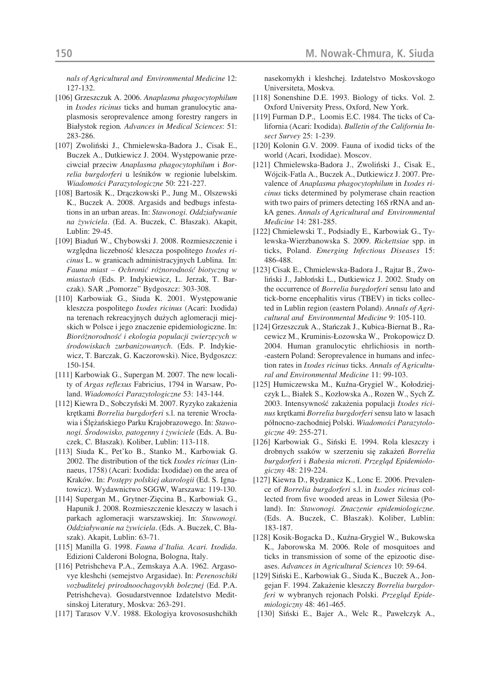*nals of Agricultural and Environmental Medicine* 12: 127-132.

- [106] Grzeszczuk A. 2006. *Anaplasma phagocytophilum* in *Ixodes ricinus* ticks and human granulocytic anaplasmosis seroprevalence among forestry rangers in Białystok region*. Advances in Medical Sciences*: 51: 283-286.
- [107] Zwoliński J., Chmielewska-Badora J., Cisak E., Buczek A., Dutkiewicz J. 2004. Występowanie przeciwciał przeciw *Anaplasma phagocytophilum* i *Borrelia burgdorferi* u leśników w regionie lubelskim. *Wiadomości Parazytologiczne* 50: 221-227.
- [108] Bartosik K., Drączkowski P., Jung M., Olszewski K., Buczek A. 2008. Argasids and bedbugs infestations in an urban areas. In: *Stawonogi. Oddziaływanie na żywiciela*. (Ed. A. Buczek, C. Błaszak). Akapit, Lublin: 29-45.
- [109] Biaduń W., Chybowski J. 2008. Rozmieszczenie i względna liczebność kleszcza pospolitego *Ixodes ricinus* L. w granicach administracyjnych Lublina. In: *Fauna miast – Ochronić różnorodność biotyczną w miastach* (Eds. P. Indykiewicz, L. Jerzak, T. Barczak). SAR "Pomorze" Bydgoszcz: 303-308.
- [110] Karbowiak G., Siuda K. 2001. Występowanie kleszcza pospolitego *Ixodes ricinus* (Acari: Ixodida) na terenach rekreacyjnych dużych aglomeracji miejskich w Polsce i jego znaczenie epidemiologiczne. In: *Bioróżnorodność i ekologia populacji zwierzęcych w środowiskach zurbanizowanych*. (Eds. P. Indykiewicz, T. Barczak, G. Kaczorowski). Nice, Bydgoszcz: 150-154.
- [111] Karbowiak G., Supergan M. 2007. The new locality of *Argas reflexus* Fabricius, 1794 in Warsaw, Poland. *Wiadomości Parazytologiczne* 53: 143-144.
- [112] Kiewra D., Sobczyński M. 2007. Ryzyko zakażenia krętkami *Borrelia burgdorferi* s.l. na terenie Wrocławia i Ślężańskiego Parku Krajobrazowego. In: *Stawonogi. Środowisko, patogenny i żywiciele* (Eds. A. Buczek, C. Błaszak). Koliber, Lublin: 113-118.
- [113] Siuda K., Pet'ko B., Stanko M., Karbowiak G. 2002. The distribution of the tick *Ixodes ricinus* (Linnaeus, 1758) (Acari: Ixodida: Ixodidae) on the area of Kraków. In: *Postępy polskiej akarologii* (Ed. S. Ignatowicz). Wydawnictwo SGGW, Warszawa: 119-130.
- [114] Supergan M., Grytner-Zięcina B., Karbowiak G., Hapunik J. 2008. Rozmieszczenie kleszczy w lasach i parkach aglomeracji warszawskiej. In: *Stawonogi. Oddziaływanie na żywiciela*. (Eds. A. Buczek, C. Błaszak). Akapit, Lublin: 63-71.
- [115] Manilla G. 1998. *Fauna d'Italia. Acari. Ixodida*. Edizioni Calderoni Bologna, Bologna, Italy.
- [116] Petrishcheva P.A., Zemskaya A.A. 1962. Argasovye kleshchi (semejstvo Argasidae). In: *Perenoschiki vozbuditelej prirodnoochagovykh boleznej* (Ed. P.A. Petrishcheva). Gosudarstvennoe Izdatelstvo Meditsinskoj Literatury, Moskva: 263-291.
- [117] Tarasov V.V. 1988. Ekologiya krovososushchikh

nasekomykh i kleshchej. Izdatelstvo Moskovskogo Universiteta, Moskva.

- [118] Sonenshine D.E. 1993. Biology of ticks. Vol. 2. Oxford University Press, Oxford, New York.
- [119] Furman D.P., Loomis E.C. 1984. The ticks of California (Acari: Ixodida). *Bulletin of the California Insect Survey* 25: 1-239.
- [120] Kolonin G.V. 2009. Fauna of ixodid ticks of the world (Acari, Ixodidae). Moscov.
- [121] Chmielewska-Badora J., Zwoliński J., Cisak E., Wójcik-Fatla A., Buczek A., Dutkiewicz J. 2007. Prevalence of *Anaplasma phagocytophilum* in *Ixodes ricinus* ticks determined by polymerase chain reaction with two pairs of primers detecting 16S rRNA and ankA genes. *Annals of Agricultural and Environmental Medicine* 14: 281-285.
- [122] Chmielewski T., Podsiadly E., Karbowiak G., Tylewska-Wierzbanowska S. 2009. *Rickettsiae* spp. in ticks, Poland. *Emerging Infectious Diseases* 15: 486-488.
- [123] Cisak E., Chmielewska-Badora J., Rajtar B., Zwoliński J., Jabłoński L., Dutkiewicz J. 2002. Study on the occurrence of *Borrelia burgdorferi* sensu lato and tick-borne encephalitis virus (TBEV) in ticks collected in Lublin region (eastern Poland). *Annals of Agricultural and Environmental Medicine* 9: 105-110.
- [124] Grzeszczuk A., Stańczak J., Kubica-Biernat B., Racewicz M., Kruminis-Łozowska W., Prokopowicz D. 2004. Human granulocytic ehrlichiosis in north- -eastern Poland: Seroprevalence in humans and infection rates in *Ixodes ricinus* ticks. *Annals of Agricultural and Environmental Medicine* 11: 99-103.
- [125] Humiczewska M., Kuźna-Grygiel W., Kołodziejczyk L., Białek S., Kozłowska A., Rozen W., Sych Z. 2003. Intensywność zakażenia populacji *Ixodes ricinus* krętkami *Borrelia burgdorferi* sensu lato w lasach północno-zachodniej Polski. *Wiadomości Parazytologiczne* 49: 255-271.
- [126] Karbowiak G., Siński E. 1994. Rola kleszczy i drobnych ssaków w szerzeniu się zakażeń *Borrelia burgdorferi* i *Babesia microti*. *Przegląd Epidemiologiczny* 48: 219-224.
- [127] Kiewra D., Rydzanicz K., Lonc E. 2006. Prevalence of *Borrelia burgdorferi* s.l. in *Ixodes ricinus* collected from five wooded areas in Lower Silesia (Poland). In: *Stawonogi. Znaczenie epidemiologiczne.* (Eds. A. Buczek, C. Błaszak). Koliber, Lublin: 183-187.
- [128] Kosik-Bogacka D., Kuźna-Grygiel W., Bukowska K., Jaborowska M. 2006. Role of mosquitoes and ticks in transmission of some of the epizootic diseases. *Advances in Agricultural Sciences* 10: 59-64.
- [129] Siński E., Karbowiak G., Siuda K., Buczek A., Jongejan F. 1994. Zakażenie kleszczy *Borrelia burgdorferi* w wybranych rejonach Polski. *Przegląd Epidemiologiczny* 48: 461-465.
- [130] Siński E., Bajer A., Welc R., Pawełczyk A.,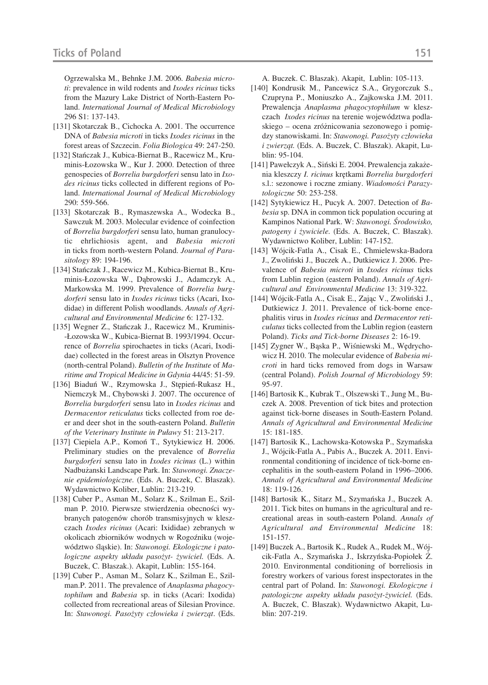Ogrzewalska M., Behnke J.M. 2006. *Babesia microti*: prevalence in wild rodents and *Ixodes ricinus* ticks from the Mazury Lake District of North-Eastern Poland. *International Journal of Medical Microbiology* 296 S1: 137-143.

- [131] Skotarczak B., Cichocka A. 2001. The occurrence DNA of *Babesia microti* in ticks *Ixodes ricinus* in the forest areas of Szczecin. *Folia Biologica* 49: 247-250.
- [132] Stańczak J., Kubica-Biernat B., Racewicz M., Kruminis-Łozowska W., Kur J. 2000. Detection of three genospecies of *Borrelia burgdorferi* sensu lato in *Ixodes ricinus* ticks collected in different regions of Poland. *International Journal of Medical Microbiology* 290: 559-566.
- [133] Skotarczak B., Rymaszewska A., Wodecka B., Sawczuk M. 2003. Molecular evidence of coinfection of *Borrelia burgdorferi* sensu lato, human granulocytic ehrlichiosis agent, and *Babesia microti* in ticks from north-western Poland. *Journal of Parasitology* 89: 194-196.
- [134] Stańczak J., Racewicz M., Kubica-Biernat B., Kruminis-Łozowska W., Dąbrowski J., Adamczyk A., Markowska M. 1999. Prevalence of *Borrelia burgdorferi* sensu lato in *Ixodes ricinus* ticks (Acari, Ixodidae) in different Polish woodlands. *Annals of Agricultural and Environmental Medicine* 6: 127-132.
- [135] Wegner Z., Stańczak J., Racewicz M., Kruminis- -Łozowska W., Kubica-Biernat B. 1993/1994. Occurrence of *Borrelia* spirochaetes in ticks (Acari, Ixodidae) collected in the forest areas in Olsztyn Provence (north-central Poland). *Bulletin of the Institute* of *Maritime and Tropical Medicine in Gdynia* 44/45: 51-59.
- [136] Biaduń W., Rzymowska J., Stępień-Rukasz H., Niemczyk M., Chybowski J. 2007. The occurence of *Borrelia burgdorferi* sensu lato in *Ixodes ricinus* and *Dermacentor reticulatus* ticks collected from roe deer and deer shot in the south-eastern Poland. *Bulletin of the Veterinary Institute in Puławy* 51: 213-217.
- [137] Ciepiela A.P., Komoń T., Sytykiewicz H. 2006. Preliminary studies on the prevalence of *Borrelia burgdorferi* sensu lato in *Ixodes ricinus* (L.) within Nadbużanski Landscape Park. In: *Stawonogi. Znaczenie epidemiologiczne.* (Eds. A. Buczek, C. Błaszak). Wydawnictwo Koliber, Lublin: 213-219.
- [138] Cuber P., Asman M., Solarz K., Szilman E., Szilman P. 2010. Pierwsze stwierdzenia obecności wybranych patogenów chorób transmisyjnych w kleszczach *Ixodes ricinus* (Acari: Ixididae) zebranych w okolicach zbiorników wodnych w Rogoźniku (województwo śląskie). In: *Stawonogi. Ekologiczne i patologiczne aspekty układu pasożyt- żywiciel.* (Eds. A. Buczek, C. Błaszak.). Akapit, Lublin: 155-164.
- [139] Cuber P., Asman M., Solarz K., Szilman E., Szilman.P. 2011. The prevalence of *Anaplasma phagocytophilum* and *Babesia* sp. in ticks (Acari: Ixodida) collected from recreational areas of Silesian Province. In: *Stawonogi. Pasożyty człowieka i zwierząt*. (Eds.

A. Buczek. C. Błaszak). Akapit, Lublin: 105-113.

- [140] Kondrusik M., Pancewicz S.A., Grygorczuk S., Czupryna P., Moniuszko A., Zajkowska J.M. 2011. Prewalencja *Anaplasma phagocytophilum* w kleszczach *Ixodes ricinus* na terenie województwa podlaskiego – ocena zróżnicowania sezonowego i pomiędzy stanowiskami. In: *Stawonogi. Pasożyty człowieka i zwierząt.* (Eds. A. Buczek, C. Błaszak). Akapit, Lublin: 95-104.
- [141] Pawełczyk A., Siński E. 2004. Prewalencja zakażenia kleszczy *I. ricinus* krętkami *Borrelia burgdorferi* s.l.: sezonowe i roczne zmiany. *Wiadomości Parazytologiczne* 50: 253-258.
- [142] Sytykiewicz H., Pucyk A. 2007. Detection of *Babesia* sp. DNA in common tick population occuring at Kampinos National Park. W: *Stawonogi. Środowisko, patogeny i żywiciele.* (Eds. A. Buczek, C. Błaszak). Wydawnictwo Koliber, Lublin: 147-152.
- [143] Wójcik-Fatla A., Cisak E., Chmielewska-Badora J., Zwoliński J., Buczek A., Dutkiewicz J. 2006. Prevalence of *Babesia microti* in *Ixodes ricinus* ticks from Lublin region (eastern Poland). *Annals of Agricultural and Environmental Medicine* 13: 319-322.
- [144] Wójcik-Fatla A., Cisak E., Zając V., Zwoliński J., Dutkiewicz J. 2011. Prevalence of tick-borne encephalitis virus in *Ixodes ricinus* and *Dermacentor reticulatus* ticks collected from the Lublin region (eastern Poland). *Ticks and Tick-borne Diseases* 2: 16-19.
- [145] Zygner W., Bąska P., Wiśniewski M., Wędrychowicz H. 2010. The molecular evidence of *Babesia microti* in hard ticks removed from dogs in Warsaw (central Poland). *Polish Journal of Microbiology* 59: 95-97.
- [146] Bartosik K., Kubrak T., Olszewski T., Jung M., Buczek A. 2008. Prevention of tick bites and protection against tick-borne diseases in South-Eastern Poland. *Annals of Agricultural and Environmental Medicine* 15: 181-185.
- [147] Bartosik K., Lachowska-Kotowska P., Szymańska J., Wójcik-Fatla A., Pabis A., Buczek A. 2011. Environmental conditioning of incidence of tick-borne encephalitis in the south-eastern Poland in 1996–2006. *Annals of Agricultural and Environmental Medicine* 18: 119-126.
- [148] Bartosik K., Sitarz M., Szymańska J., Buczek A. 2011. Tick bites on humans in the agricultural and recreational areas in south-eastern Poland. *Annals of Agricultural and Environmental Medicine* 18: 151-157.
- [149] Buczek A., Bartosik K., Rudek A., Rudek M., Wójcik-Fatla A., Szymańska J., Iskrzyńska-Popiołek Ż. 2010. Environmental conditioning of borreliosis in forestry workers of various forest inspectorates in the central part of Poland. In: *Stawonogi. Ekologiczne i patologiczne aspekty układu pasożyt-żywiciel.* (Eds. A. Buczek, C. Błaszak). Wydawnictwo Akapit, Lublin: 207-219.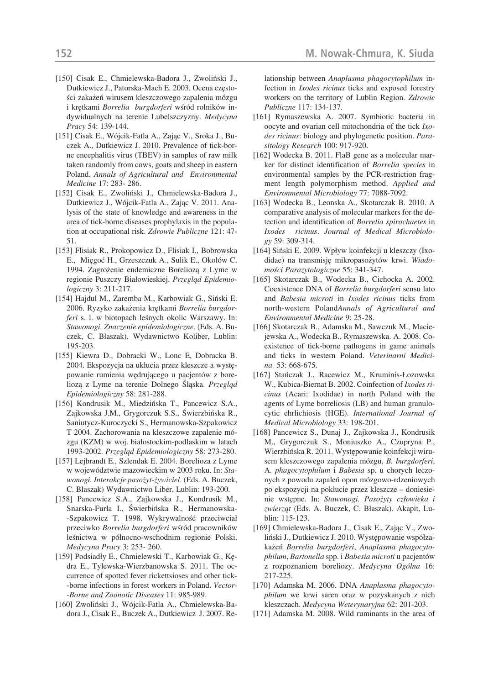- [150] Cisak E., Chmielewska-Badora J., Zwoliński J., Dutkiewicz J., Patorska-Mach E. 2003. Ocena częstości zakażeń wirusem kleszczowego zapalenia mózgu i krętkami *Borrelia burgdorferi* wśród rolników indywidualnych na terenie Lubelszczyzny. *Medycyna Pracy* 54: 139-144.
- [151] Cisak E., Wójcik-Fatla A., Zając V., Sroka J., Buczek A., Dutkiewicz J. 2010. Prevalence of tick-borne encephalitis virus (TBEV) in samples of raw milk taken randomly from cows, goats and sheep in eastern Poland. *Annals of Agricultural and Environmental Medicine* 17: 283- 286.
- [152] Cisak E., Zwoliński J., Chmielewska-Badora J., Dutkiewicz J., Wójcik-Fatla A., Zając V. 2011. Analysis of the state of knowledge and awareness in the area of tick-borne diseases prophylaxis in the population at occupational risk. *Zdrowie Publiczne* 121: 47- 51.
- [153] Flisiak R., Prokopowicz D., Flisiak I., Bobrowska E., Mięgoć H., Grzeszczuk A., Sulik E., Okołów C. 1994. Zagrożenie endemiczne Boreliozą z Lyme w regionie Puszczy Białowieskiej. *Przegląd Epidemiologiczny* 3: 211-217.
- [154] Hajdul M., Zaremba M., Karbowiak G., Siński E. 2006. Ryzyko zakażenia krętkami *Borrelia burgdorferi* s. l. w biotopach leśnych okolic Warszawy. In: *Stawonogi. Znaczenie epidemiologiczne.* (Eds. A. Buczek, C. Błaszak), Wydawnictwo Koliber, Lublin: 195-203.
- [155] Kiewra D., Dobracki W., Lonc E, Dobracka B. 2004. Ekspozycja na ukłucia przez kleszcze a występowanie rumienia wędrującego u pacjentów z boreliozą z Lyme na terenie Dolnego Śląska. *Przegląd Epidemiologiczny* 58: 281-288.
- [156] Kondrusik M., Miedzińska T., Pancewicz S.A., Zajkowska J.M., Grygorczuk S.S., Świerzbińska R., Saniutycz-Kuroczycki S., Hermanowska-Szpakowicz T 2004. Zachorowania na kleszczowe zapalenie mózgu (KZM) w woj. białostockim-podlaskim w latach 1993-2002. *Przegląd Epidemiologiczny* 58: 273-280.
- [157] Lejbrandt E., Szlendak E. 2004. Borelioza z Lyme w województwie mazowieckim w 2003 roku. In: *Stawonogi. Interakcje pasożyt-żywiciel*. (Eds. A. Buczek, C. Błaszak) Wydawnictwo Liber, Lublin: 193-200.
- [158] Pancewicz S.A., Zajkowska J., Kondrusik M., Snarska-Furła I., Świerbińska R., Hermanowska- -Szpakowicz T. 1998. Wykrywalność przeciwciał przeciwko *Borrelia burgdorferi* wśród pracowników leśnictwa w północno-wschodnim regionie Polski. *Medycyna Pracy* 3: 253- 260.
- [159] Podsiadły E., Chmielewski T., Karbowiak G., Kędra E., Tylewska-Wierzbanowska S. 2011. The occurrence of spotted fever rickettsioses and other tick- -borne infections in forest workers in Poland. *Vector- -Borne and Zoonotic Diseases* 11: 985-989.
- [160] Zwoliński J., Wójcik-Fatla A., Chmielewska-Badora J., Cisak E., Buczek A., Dutkiewicz J. 2007. Re-

lationship between *Anaplasma phagocytophilum* infection in *Ixodes ricinus* ticks and exposed forestry workers on the territory of Lublin Region. *Zdrowie Publiczne* 117: 134-137.

- [161] Rymaszewska A. 2007. Symbiotic bacteria in oocyte and ovarian cell mitochondria of the tick *Ixodes ricinus*: biology and phylogenetic position. *Parasitology Research* 100: 917-920.
- [162] Wodecka B. 2011. FlaB gene as a molecular marker for distinct identification of *Borrelia species* in environmental samples by the PCR-restriction fragment length polymorphism method. *Applied and Environmental Microbiology* 77: 7088-7092.
- [163] Wodecka B., Leonska A., Skotarczak B. 2010. A comparative analysis of molecular markers for the detection and identification of *Borrelia spirochaetes* in *Ixodes ricinus*. *Journal of Medical Microbiology* 59: 309-314.
- [164] Siński E. 2009. Wpływ koinfekcji u kleszczy (Ixodidae) na transmisję mikropasożytów krwi. *Wiadomości Parazytologiczne* 55: 341-347.
- [165] Skotarczak B., Wodecka B., Cichocka A. 2002. Coexistence DNA of *Borrelia burgdorferi* sensu lato and *Babesia microti* in *Ixodes ricinus* ticks from north-western Poland*Annals of Agricultural and Environmental Medicine* 9: 25-28.
- [166] Skotarczak B., Adamska M., Sawczuk M., Maciejewska A., Wodecka B., Rymaszewska. A. 2008. Coexistence of tick-borne pathogens in game animals and ticks in western Poland. *Veterinarni Medicina* 53: 668-675.
- [167] Stańczak J., Racewicz M., Kruminis-Łozowska W., Kubica-Biernat B. 2002. Coinfection of *Ixodes ricinus* (Acari: Ixodidae) in north Poland with the agents of Lyme borreliosis (LB) and human granulocytic ehrlichiosis (HGE). *International Journal of Medical Microbiology* 33: 198-201.
- [168] Pancewicz S., Dunaj J., Zajkowska J., Kondrusik M., Grygorczuk S., Moniuszko A., Czupryna P., Wierzbińska R. 2011. Występowanie koinfekcji wirusem kleszczowego zapalenia mózgu, *B. burgdorferi*, A*. phagocytophilum* i *Babesia* sp. u chorych leczonych z powodu zapaleń opon mózgowo-rdzeniowych po ekspozycji na pokłucie przez kleszcze – doniesienie wstępne. In: *Stawonogi. Pasożyty człowieka i zwierząt* (Eds. A. Buczek, C. Błaszak). Akapit, Lublin: 115-123.
- [169] Chmielewska-Badora J., Cisak E., Zając V., Zwoliński J., Dutkiewicz J. 2010. Występowanie współzakażeń *Borrelia burgdorferi*, *Anaplasma phagocytophilum*, *Bartonella* spp. i *Babesia microti* u pacjentów z rozpoznaniem boreliozy. *Medycyna Ogólna* 16: 217-225.
- [170] Adamska M. 2006. DNA *Anaplasma phagocytophilum* we krwi saren oraz w pozyskanych z nich kleszczach. *Medycyna Weterynaryjna* 62: 201-203.
- [171] Adamska M. 2008. Wild ruminants in the area of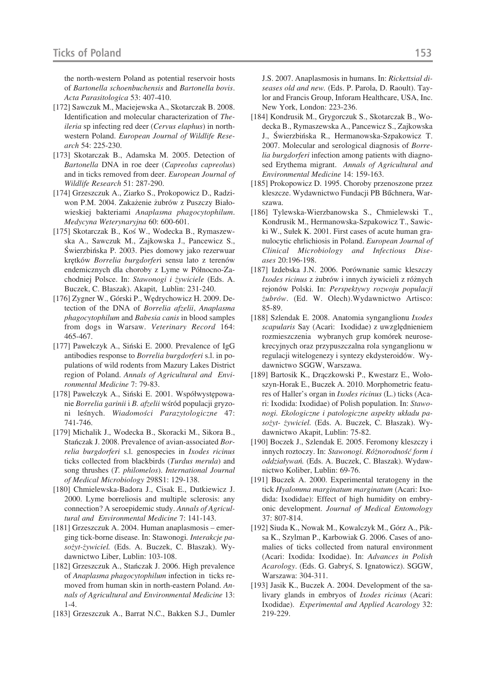the north-western Poland as potential reservoir hosts of *Bartonella schoenbuchensis* and *Bartonella bovis*. *Acta Parasitologica* 53: 407-410.

- [172] Sawczuk M., Maciejewska A., Skotarczak B. 2008. Identification and molecular characterization of *Theileria* sp infecting red deer (*Cervus elaphus*) in northwestern Poland. *European Journal of Wildlife Research* 54: 225-230.
- [173] Skotarczak B., Adamska M. 2005. Detection of *Bartonella* DNA in roe deer (*Capreolus capreolus*) and in ticks removed from deer. *European Journal of Wildlife Research* 51: 287-290.
- [174] Grzeszczuk A., Ziarko S., Prokopowicz D., Radziwon P.M. 2004. Zakażenie żubrów z Puszczy Białowieskiej bakteriami *Anaplasma phagocytophilum*. *Medycyna Weterynaryjna* 60: 600-601.
- [175] Skotarczak B., Koś W., Wodecka B., Rymaszewska A., Sawczuk M., Zajkowska J., Pancewicz S., Świerzbińska P. 2003. Pies domowy jako rezerwuar krętków *Borrelia burgdorfer*i sensu lato z terenów endemicznych dla choroby z Lyme w Północno-Zachodniej Polsce. In: *Stawonogi i żywiciele* (Eds. A. Buczek, C. Błaszak). Akapit, Lublin: 231-240.
- [176] Zygner W., Górski P., Wędrychowicz H. 2009. Detection of the DNA of *Borrelia afzelii*, *Anaplasma phagocytophilum* and *Babesia canis* in blood samples from dogs in Warsaw. *Veterinary Record* 164: 465-467.
- [177] Pawełczyk A., Siński E. 2000. Prevalence of IgG antibodies response to *Borrelia burgdorferi* s.l. in populations of wild rodents from Mazury Lakes District region of Poland. *Annals of Agricultural and Environmental Medicine* 7: 79-83.
- [178] Pawełczyk A., Siński E. 2001. Współwystępowanie *Borrelia garinii* i *B. afzelii* wśród populacji gryzoni leśnych. *Wiadomości Parazytologiczne* 47: 741-746.
- [179] Michalik J., Wodecka B., Skoracki M., Sikora B., Stańczak J. 2008. Prevalence of avian-associated *Borrelia burgdorferi* s.l. genospecies in *Ixodes ricinus* ticks collected from blackbirds (*Turdus merula*) and song thrushes (*T. philomelos*). *International Journal of Medical Microbiology* 298S1: 129-138.
- [180] Chmielewska-Badora J., Cisak E., Dutkiewicz J. 2000. Lyme borreliosis and multiple sclerosis: any connection? A seroepidemic study. *Annals of Agricultural and Environmental Medicine* 7: 141-143.
- [181] Grzeszczuk A. 2004. Human anaplasmosis emerging tick-borne disease. In: Stawonogi*. Interakcje pasożyt-żywiciel.* (Eds. A. Buczek, C. Błaszak). Wydawnictwo Liber, Lublin: 103-108.
- [182] Grzeszczuk A., Stańczak J. 2006. High prevalence of *Anaplasma phagocytophilum* infection in ticks removed from human skin in north-eastern Poland. *Annals of Agricultural and Environmental Medicine* 13: 1-4.
- [183] Grzeszczuk A., Barrat N.C., Bakken S.J., Dumler

J.S. 2007. Anaplasmosis in humans. In: *Rickettsial diseases old and new.* (Eds. P. Parola, D. Raoult). Taylor and Francis Group, Inforam Healthcare, USA, Inc. New York, London: 223-236.

- [184] Kondrusik M., Grygorczuk S., Skotarczak B., Wodecka B., Rymaszewska A., Pancewicz S., Zajkowska J., Świerzbińska R., Hermanowska-Szpakowicz T. 2007. Molecular and serological diagnosis of *Borrelia burgdorferi* infection among patients with diagnosed Erythema migrant. *Annals of Agricultural and Environmental Medicine* 14: 159-163.
- [185] Prokopowicz D. 1995. Choroby przenoszone przez kleszcze. Wydawnictwo Fundacji PB Bűchnera, Warszawa.
- [186] Tylewska-Wierzbanowska S., Chmielewski T., Kondrusik M., Hermanowska-Szpakowicz T., Sawicki W., Sułek K. 2001. First cases of acute human granulocytic ehrlichiosis in Poland. *European Journal of Clinical Microbiology and Infectious Diseases* 20:196-198.
- [187] Izdebska J.N. 2006. Porównanie samic kleszczy *Ixodes ricinus* z żubrów i innych żywicieli z różnych rejonów Polski. In: *Perspektywy rozwoju populacji żubrów*. (Ed. W. Olech).Wydawnictwo Artisco: 85-89.
- [188] Szlendak E. 2008. Anatomia synganglionu *Ixodes scapularis* Say (Acari: Ixodidae) z uwzględnieniem rozmieszczenia wybranych grup komórek neurosekrecyjnych oraz przypuszczalna rola synganglionu w regulacji witelogenezy i syntezy ekdysteroidów. Wydawnictwo SGGW, Warszawa.
- [189] Bartosik K., Drączkowski P., Kwestarz E., Wołoszyn-Horak E., Buczek A. 2010. Morphometric features of Haller's organ in *Ixodes ricinus* (L.) ticks (Acari: Ixodida: Ixodidae) of Polish population. In: *Stawonogi. Ekologiczne i patologiczne aspekty układu pasożyt- żywiciel.* (Eds. A. Buczek, C. Błaszak). Wydawnictwo Akapit, Lublin: 75-82.
- [190] Boczek J., Szlendak E. 2005. Feromony kleszczy i innych roztoczy. In: *Stawonogi. Różnorodność form i oddziaływań.* (Eds. A. Buczek, C. Błaszak). Wydawnictwo Koliber, Lublin: 69-76.
- [191] Buczek A. 2000. Experimental teratogeny in the tick *Hyalomma marginatum marginatum* (Acari: Ixodida: Ixodidae): Effect of high humidity on embryonic development. *Journal of Medical Entomology* 37: 807-814.
- [192] Siuda K., Nowak M., Kowalczyk M., Górz A., Piksa K., Szylman P., Karbowiak G. 2006. Cases of anomalies of ticks collected from natural environment (Acari: Ixodida: Ixodidae). In: *Advances in Polish Acarology*. (Eds. G. Gabryś, S. Ignatowicz). SGGW, Warszawa: 304-311.
- [193] Jasik K., Buczek A. 2004. Development of the salivary glands in embryos of *Ixodes ricinus* (Acari: Ixodidae). *Experimental and Applied Acarology* 32: 219-229.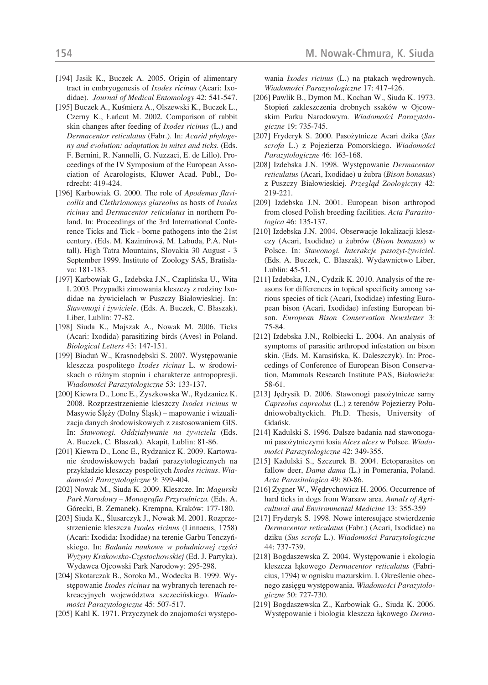- [194] Jasik K., Buczek A. 2005. Origin of alimentary tract in embryogenesis of *Ixodes ricinus* (Acari: Ixodidae). *Journal of Medical Entomology* 42: 541-547.
- [195] Buczek A., Kuśmierz A., Olszewski K., Buczek L., Czerny K., Łańcut M. 2002. Comparison of rabbit skin changes after feeding of *Ixodes ricinus* (L.) and *Dermacentor reticulatus* (Fabr.). In: *Acarid phylogeny and evolution: adaptation in mites and ticks.* (Eds. F. Bernini, R. Nannelli, G. Nuzzaci, E. de Lillo). Proceedings of the IV Symposium of the European Association of Acarologists, Kluwer Acad. Publ., Dordrecht: 419-424.
- [196] Karbowiak G. 2000. The role of *Apodemus flavicollis* and *Clethrionomys glareolus* as hosts of *Ixodes ricinus* and *Dermacentor reticulatus* in northern Poland. In: Proceedings of the 3rd International Conference Ticks and Tick - borne pathogens into the 21st century. (Eds. M. Kazimírová, M. Labuda, P.A. Nuttall). High Tatra Mountains, Slovakia 30 August - 3 September 1999. Institute of Zoology SAS, Bratislava: 181-183.
- [197] Karbowiak G., Izdebska J.N., Czaplińska U., Wita I. 2003. Przypadki zimowania kleszczy z rodziny Ixodidae na żywicielach w Puszczy Białowieskiej. In: *Stawonogi i żywiciele*. (Eds. A. Buczek, C. Błaszak). Liber, Lublin: 77-82.
- [198] Siuda K., Majszak A., Nowak M. 2006. Ticks (Acari: Ixodida) parasitizing birds (Aves) in Poland. *Biological Letters* 43: 147-151.
- [199] Biaduń W., Krasnodębski S. 2007. Występowanie kleszcza pospolitego *Ixodes ricinus* L. w środowiskach o różnym stopniu i charakterze antropopresji. *Wiadomości Parazytologiczne* 53: 133-137.
- [200] Kiewra D., Lonc E., Żyszkowska W., Rydzanicz K. 2008. Rozprzestrzenienie kleszczy *Ixodes ricinus* w Masywie Ślęży (Dolny Śląsk) – mapowanie i wizualizacja danych środowiskowych z zastosowaniem GIS. In: *Stawonogi. Oddziaływanie na żywiciela* (Eds. A. Buczek, C. Błaszak). Akapit, Lublin: 81-86.
- [201] Kiewra D., Lonc E., Rydzanicz K. 2009. Kartowanie środowiskowych badań parazytologicznych na przykładzie kleszczy pospolitych *Ixodes ricinus*. *Wiadomości Parazytologiczne* 9: 399-404.
- [202] Nowak M., Siuda K. 2009. Kleszcze. In: *Magurski Park Narodowy – Monografia Przyrodnicza.* (Eds. A. Górecki, B. Zemanek). Krempna, Kraków: 177-180.
- [203] Siuda K., Ślusarczyk J., Nowak M. 2001. Rozprzestrzenienie kleszcza *Ixodes ricinus* (Linnaeus, 1758) (Acari: Ixodida: Ixodidae) na terenie Garbu Tenczyńskiego. In: *Badania naukowe w południowej części Wyżyny Krakowsko-Częstochowskiej* (Ed. J. Partyka). Wydawca Ojcowski Park Narodowy: 295-298.
- [204] Skotarczak B., Soroka M., Wodecka B. 1999. Występowanie *Ixodes ricinus* na wybranych terenach rekreacyjnych województwa szczecińskiego. *Wiadomości Parazytologiczne* 45: 507-517.
- [205] Kahl K. 1971. Przyczynek do znajomości występo-

wania *Ixodes ricinus* (L.) na ptakach wędrownych. *Wiadomości Parazytologiczne* 17: 417-426.

- [206] Pawlik B., Dymon M., Kochan W., Siuda K. 1973. Stopień zakleszczenia drobnych ssaków w Ojcowskim Parku Narodowym. *Wiadomości Parazytologiczne* 19: 735-745.
- [207] Fryderyk S. 2000. Pasożytnicze Acari dzika (*Sus scrofa* L.) z Pojezierza Pomorskiego. *Wiadomości Parazytologiczne* 46: 163-168.
- [208] Izdebska J.N. 1998. Występowanie *Dermacentor reticulatus* (Acari, Ixodidae) u żubra (*Bison bonasus*) z Puszczy Białowieskiej. *Przegląd Zoologiczny* 42: 219-221.
- [209] Izdebska J.N. 2001. European bison arthropod from closed Polish breeding facilities. *Acta Parasitologica* 46: 135-137.
- [210] Izdebska J.N. 2004. Obserwacje lokalizacji kleszczy (Acari, Ixodidae) u żubrów (*Bison bonasus*) w Polsce. In: *Stawonogi. Interakcje pasożyt-żywiciel*. (Eds. A. Buczek, C. Błaszak). Wydawnictwo Liber, Lublin: 45-51.
- [211] Izdebska, J.N., Cydzik K. 2010. Analysis of the reasons for differences in topical specificity among various species of tick (Acari, Ixodidae) infesting European bison (Acari, Ixodidae) infesting European bison. *European Bison Conservation Newsletter* 3: 75-84.
- [212] Izdebska J.N., Rolbiecki L. 2004. An analysis of symptoms of parasitic arthropod infestation on bison skin. (Eds. M. Karasińska, K. Daleszczyk). In: Proccedings of Conference of European Bison Conservation, Mammals Research Institute PAS, Białowieża: 58-61.
- [213] Jędrysik D. 2006. Stawonogi pasożytnicze sarny *Capreolus capreolus* (L.) z terenów Pojezierzy Południowobałtyckich. Ph.D. Thesis, University of Gdańsk.
- [214] Kadulski S. 1996. Dalsze badania nad stawonogami pasożytniczymi łosia *Alces alces* w Polsce. *Wiadomości Parazytologiczne* 42: 349-355.
- [215] Kadulski S., Szczurek B. 2004. Ectoparasites on fallow deer, *Dama dama* (L.) in Pomerania, Poland. *Acta Parasitologica* 49: 80-86.
- [216] Zygner W., Wędrychowicz H. 2006. Occurrence of hard ticks in dogs from Warsaw area. *Annals of Agricultural and Environmental Medicine* 13: 355-359
- [217] Fryderyk S. 1998. Nowe interesujące stwierdzenie *Dermacentor reticulatus* (Fabr.) (Acari, Ixodidae) na dziku (*Sus scrofa* L.). *Wiadomości Parazytologiczne* 44: 737-739.
- [218] Bogdaszewska Z. 2004. Występowanie i ekologia kleszcza łąkowego *Dermacentor reticulatus* (Fabricius, 1794) w ognisku mazurskim. I. Określenie obecnego zasięgu występowania. *Wiadomości Parazytologiczne* 50: 727-730.
- [219] Bogdaszewska Z., Karbowiak G., Siuda K. 2006. Występowanie i biologia kleszcza łąkowego *Derma-*